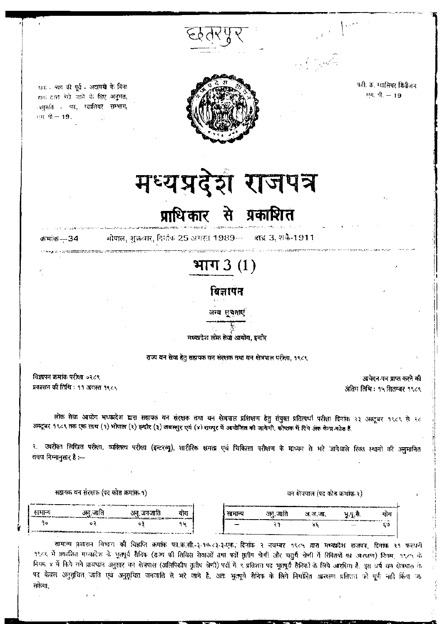फ्गी. क्र. ग्वालियर डिवीजन  $\psi$ <sub>0</sub>  $\hat{\eta}$ <sub>19</sub>



आक्र - अपय की पूर्व - अदायगी के बिना हाक द्वारा भेजे जाने के लिए अनुमत, अनुमति - पत्र, ग्वालियर सम्भाग, एम. पी.- 19.

# मध्यप्रदेश राजपत्र

### प्राधिकार ्से प्रकाशि**त**

कमांक $-34$ 

भोपाल, शुक्रवार, दिसंक 25 अमरत 1989- शब्द 3, शकै-1911

## भाग  $3(1)$

विज्ञापन

अन्य सुचनाएं

मध्यप्रदेश लोक सेवा आयोग, इन्दौर

राज्य वन सेवा हेतु सहायक वन संरक्षक तथा वन क्षेत्रपाल परीक्षा, १९८९

विज्ञापन क्रमांक परीक्षा ०२८९ प्रकाशन की तिथि : ११ अगस्त १९८९

आवेदन-पत्र प्राप्त करने की अंतिम तिथि: १५ सितम्बर १९८९

लोक सेवा आयोग भध्यप्रदेश द्यारा सहायक वन संरक्षक तथा वन क्षेत्रपाल प्रशिक्षण हेतु संयुक्त प्रतिस्पर्धा परीक्षा दिनांक २३ अक्टूबर १९८९ से २८ अक्टूबर १९८९ तक एक साथ (१) भोगाल (२) झ्न्दीर (३) जबलपुर एवं (४) रायपुर में अधोजित की जायेगी. कोष्टक में दिये अंक केन्द्र कोड हैं

२. उपरोक्त लिखित परीक्षा, व्यक्तित्य परीक्षा (इन्टरव्यू), शारीरिक क्षमता एवं चिकित्सा परीक्षण के माध्यम से भरे जानेवाले रिक्त स्थानों की अनुमानित संख्या निम्नानुसार है :--

सहायक वन संरक्षक (पद कोड क्रमाक-१)

सामान्य अनु.जाति अनु.जनजाति योग सामान्य अनु जाति अ.ज.जा. भू.पू.सै. योग ۹۰  $0<sup>2</sup>$ ०३ 94  $\mathcal{A}$  $Y_{\xi}$ ξŰ

सामान्य प्रशासन विभाग की विश्वप्ति कमांक फा.क.सी.-३.१७.८३.३.एक, दिनांक २ नवम्बर १९८५ द्वारा मध्यप्रदेश राजपत्र, दिनांक २१ फरवरी १९८६ में प्रकाशित मध्यप्रदेश के भूतपूर्व सैनिक (राज्य की सिविस रोवाओं तथा पदों सुतीय श्रेणी और चतुर्थ श्रेणी में सिवितयों का आरक्षण) नियम, १९८५ के नियम ४ में किये गये प्रायधान अनुसार बन क्षेत्रपाल (अलिपिकीय तृतीय श्रेणी) पदों में ९ प्रतिशत पद भुतपूर्व सैनिकों के लिये आरक्षित हैं. इस वर्ष बन क्षेत्रयाल के पद केवल अनुसूचित जाति एवं अनुसूचित जनजाति से भरे जाने हैं, अतः भूतपूर्व सैनिक के लिये नियरित अस्समा प्रतिशत को पूर्ण नहीं किया जा सकेगा.

वन क्षेत्रपाल (पद कोड क्रमांक २)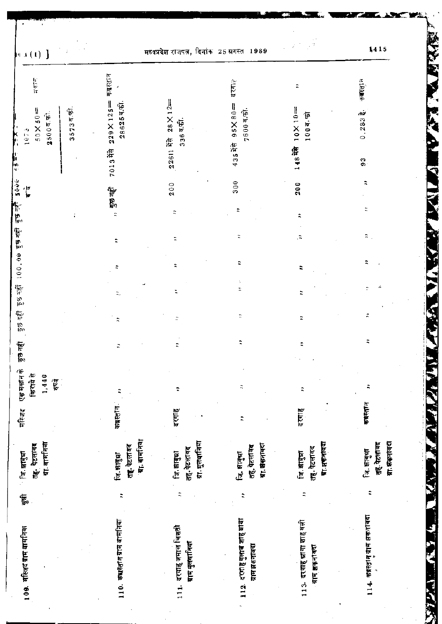A PICAR  $1415$ मध्यप्रदेश राजपत्न, दिनांक 25 म्रगस्त 1989  $\mathfrak{g}(\mathfrak{g},\mathfrak{g})\in \mathfrak{g}$ 7013 मेरी 229 X 125<sup>-85</sup> कब्रस्तान 情報 435 NH 95X 80 = 4711 कबातान  $\ddot{\cdot}$ 22611 मेरे 28 × 12 28625年前  $357377$ 200 148裕 10×10=  $50\times50 =$  $0.283\frac{3}{3}$ . 7600 व.की.  $25007.51$  $1000, 500$  $336\overline{a}.\overline{m}$ 1073 ļ. l.<br>F 93  $300$ कुछ नहीं कुछ नहीं 100,00 कुछ नहीं कुछ नहीं 5000 200  $\ddot{ }$ ा<br>ब ,, कुछ नहीं  $\ddot{ }$  $\ddot{z}$ ż  $\ddot{ }$  $\ddot{ }$  $\ddot{ }$  $\ddot{\mathbf{z}}$  $\ddot{z}$  $\ddot{\phantom{0}}$ É  $\ddot{ }$  $\ddot{z}$  $\ddot{ }$ b ż Ř,  $\ddot{z}$  $\ddot{ }$  $\ddot{ }$  $\ddot{z}$ কুরু নর্থা  $\ddot{z}$  $\ddot{ }$  $\ddot{z}$  $\ddot{ }$ एक मकान के किराये से 1,440 हयुर्वे  $\ddot{ }$  $\ddot{ }$  $\ddot{z}$  $\ddot{ }$  $\ddot{ }$ कबस्तान कब्रस्तान मस्जिद दरगाह दरगाह  $\ddot{ }$ ग्रा. बार्मानया तह. पेटलावह<br>ग्रा.बामनिया ग्रा. मुलबानिया प्रा.झकनावदा तत्. पेटलावद ग्रा अक्तावरा प्रा. श्रीकृतावदा तहः पेटलावद तह, पेटलांवर तत्. पेटलावद तह. पेटलावद जि. साबुश्रा जि. साबुम्ना जि. झाड्या िन. झाबुभ्रा जि. साबुधा जि. सावचा  $\ddot{\phantom{a}}$  $\ddot{ }$  $\ddot{ }$ E, 114. कब्रस्तान याम अकनावका 112. दरगोह गुलाव शाह बाबा 110. क्ष्यूस्तान ग्राम बामनिया 113. दरगह प्रागा शाहबली 111. दरगह जमाल चिशती 109. महिजद ग्राम बामनिया ग्राम मुलयानिया ग्राम झकनांवदा ग्राम झकनावदा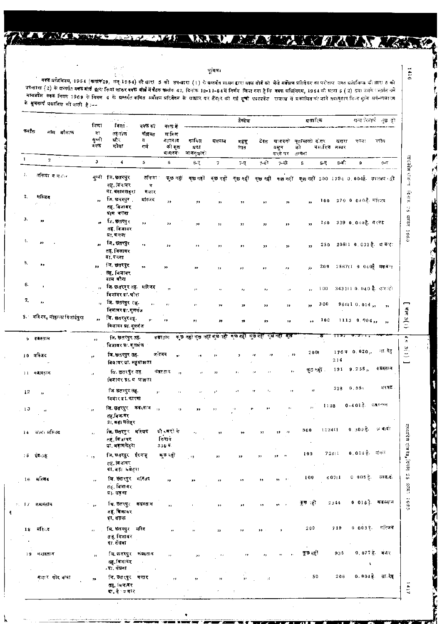#### भूमिका

**LARANTI** 

Þ

THE TABLE TO THE TABLE TO BE

ę

No.

 $\xi \geq 1$ 

वक्फ सधिनियम, 1954 (कमॉक 29, सन् 1954) की धारा 5 की उप-धारा (1) के प्रतनौत शासन द्वारा वक्फ बोर्ड को पेजे सर्वेक्षण प्रतिबेदन का परीसण उक्त अधिनिया की बारा 5 को मध्यप्रदेश वक्क नियम 1969 के निमम 4 के बलगत कवित सर्वेजय प्रतिबेदन के प्राधार पर तीमार अपना सम्मान को अक्षरित को जाने क्षत्र कर किया सुके सर्वेच्याधाःण<br>से स्मानी के प्राप्त कर किया की प्रतिबेदन के प्राधार पर तैयार को गई के **भूचनार्थ प्रकाशित की जाती है** :---

|              |                              | शिषा                     | ৰিলা.                                                 | বৰক কা                   | वक्क में                               |                                                           |                      | टेक्सेस                              |                         |                                   | ब्रसारिक                                                                           |                      |                                 | धन्य रिनार्फ जुछ हो                 |
|--------------|------------------------------|--------------------------|-------------------------------------------------------|--------------------------|----------------------------------------|-----------------------------------------------------------|----------------------|--------------------------------------|-------------------------|-----------------------------------|------------------------------------------------------------------------------------|----------------------|---------------------------------|-------------------------------------|
| कर्माक       | नीम ग्रौकाफ                  | या<br>सून्नी<br>ৰৰদ      | तहलोत<br>प्रौर<br>मोजा                                | ৰীয়বন<br>Ħ,<br>गर्ज     | शामिल<br>गायद।द<br>की कृत<br>ञ।मदन⊏    | কাৰিল<br>ग्रदा<br>मालगुजारो                               | भवनान                | महसू<br>लात                          | टेक्स                   | सायदनरे<br>वसून<br>करने पर तन्छन' | मृतावल्ली दोगर<br>को                                                               | खसरा<br>मसारिफ नम्बर | रकर:                            | पकोग                                |
| $\mathbf{1}$ | $\mathbf{z}$                 | $\mathbf{3}$             | 4                                                     | 5                        | G.                                     | $6 - 7$                                                   | 7                    | $7-7$                                | 7-वो                    | $7 - 51$                          | 8                                                                                  | $8 - 1$<br>8-V       | 9                               | $0 - \overline{0}$                  |
| Ι.           | तकिया व महार                 |                          | पुन्नी जि. छतरपुर<br>तह, बिनावर<br>या. बडामलहरा       | तकिया<br>₹,<br>দলাৰ      | फछ नहीं                                |                                                           |                      |                                      |                         |                                   | क्छ नहीं कुछ नहीं कुछ नहीं कुछ नहीं कुछ नहीं कुछ नहीं 200 1794 0 004 है. उपलब्ध ही |                      |                                 |                                     |
| 2.           | मरिजन                        | 33.                      | जि. छतरपुर<br>तह, विजागर<br>प्राम भगवा                | र्मास्जद                 | 28                                     | $^{\prime\prime}$                                         | $\ddot{\phantom{a}}$ | 33                                   | $, \,$                  | $\pmb{\mathfrak{z}}$              | $\bullet\bullet$                                                                   |                      | 100 279 0 040 है. मस्ज़िद       |                                     |
| 3.           | 99                           | $\overline{1}$           | जि. छतरपुर<br>त <b>ह, बिजा</b> धर<br>प्रा. मगवा       | ,,                       | $\pmb{\cdot}$                          | 78                                                        | $^{\bullet}$         | $\rightarrow$                        | 52                      | $\bullet$                         | 55.                                                                                | 150                  | 329 0.040है. मध्यट              |                                     |
| 4.           | ,,                           | ä,                       | जि. छतरपुर<br>तह, विजावर<br>प्रा. पनवा                | ٠,                       | $\rightarrow$                          | 55                                                        | 53                   | $^{\prime}$                          | ,,                      | ${}^{1+}$                         | 33                                                                                 | 250                  |                                 | 20511 0.032 है. बाबादा              |
| 5.           | $\mathbf{r}$                 | $\mathbf{z}$             | जि. छतरपुर<br>तह, विजावर<br>प्राम वौरा                | $\overline{\phantom{a}}$ | $\rightarrow$                          | $\rightarrow$                                             | $\bullet$            | $\overline{1}$                       | ,,                      | 73                                | źэ.                                                                                | 200                  |                                 | 2567(I 0 040हैं मकब <sub>ें 1</sub> |
| 6.           |                              | ١ŀ.                      | जि.छतरपृरतह. मरिजद<br>विजावर प्रा. घौरा               |                          | 33                                     | $\overline{1}$                                            |                      | $\pmb{\imath}$                       | $^{7}$                  | $\bar{r}$                         | 17                                                                                 | 100                  |                                 | 3431110.040 है. इन्दादो             |
| 7.           | ,,                           | H.                       | जि. छतरपुर तह.<br>विआवरषा गुलगज                       | $\mathbf{r}$ :           | $\pmb{\imath}$                         | $\overline{1}$                                            | 77                   | $\mathbf{y}$                         | ,,                      | 33                                | "                                                                                  | 300                  | 966(1 0.014,                    | $\mathbf{33}$                       |
|              | 3. मस्तिद, योहत्ता विलाईपूरा | $\overline{\phantom{a}}$ | जि. छतरपुरसह<br>विजावर ग्रा.गुलगंज                    | ,.                       | 79                                     | $\bullet\bullet$                                          | 39.                  | $\mathcal{P}$                        | $\bullet$               | ,,                                | $, \,$                                                                             | 100                  | $1113 - 0.904, , , ,$           |                                     |
|              | 5 कफ़ैस्तान                  | 55                       | जि. छतरपुर तह.<br>विज्ञावर प्रा. गुलभंज               |                          | कब्रस्तान                              | कुछ नहीं कुछ नहीं कुछ नहीं कुछ नहीं कुछ नहीं कुछ नहीं कुछ |                      |                                      |                         |                                   |                                                                                    |                      |                                 | नर, वेह                             |
|              | 10 मस्जिद                    | y.                       | जि.छतरपुर तह.<br>विवावर या. महुग्रामला                |                          | जःस्जद<br>yt.                          |                                                           |                      |                                      | 39                      | $. \cdot$                         | 2001                                                                               | 214                  | 17670.020,                      |                                     |
|              | $11 - 947577$                | и,                       | जि. छतरपुर तह.<br>बिजावर प्रा. य श्राञ्चल।            |                          | कबस्तः न<br>$\bar{\mathbf{r}}$         |                                                           | ,,                   |                                      | ÷,                      | ,,                                | ক্ত∺ৱী                                                                             |                      | $191$ $9.255$ ,                 | क प्रस्त। न<br>भाषात.               |
| 12           | $\boldsymbol{\mu}$           |                          | जि. छतरपुर तह.<br>विजार प्रा. मागना                   |                          | y r<br>2.1                             | $\mathbf{r}$                                              |                      | ż,                                   | 15<br>т,                | H.                                | H.                                                                                 | 328                  | 0.55:                           |                                     |
| 13           | $^{\prime}$                  | ° an                     | जि.छत्तरपुर कब्र⊰तान<br>तह.बिज.वर<br>प्रा. बड़ा मलेहर |                          | $\overline{\mathbf{z}}$<br>$^{\prime}$ | 99                                                        |                      |                                      | $\overline{\mathbf{z}}$ | b.                                | $\mathbf{r}$                                                                       | 1128                 | $0-4.01\frac{3}{9}$ . $53.5444$ |                                     |
| 14           | জান। মন্বিৰ                  | $\mathbf{y}$             | लि,छतरपुर मस्जिद<br>तह, बिजावर<br>या. चड़ामलेहरा      |                          | दौ∝षरों के<br>किराय<br>3365.           |                                                           |                      |                                      | ,,                      | $\rightarrow$<br>,,               | 500                                                                                | 1224(1)              |                                 | 0.300 है. अबादो                     |
|              | $25 - 35.68$                 | $\sim$ $_{\rm 2.5}$      | जि. छत्तरपुर ईदगाडु<br>तह. !वजावर<br>या. बड़ा भवेतृरा |                          | মূত নৱী                                | $^{\circ}$                                                | 13                   | ,,                                   | 33                      | ,,<br>$\overline{\phantom{a}}$    | 100                                                                                | 72811                | 0.018 है. जैसक                  |                                     |
|              | 16 मस्जिद                    | $\bar{r}$                | जि. छतरपुर मस्जिद<br>तह, विजावर<br>या सङ्गा           |                          | ,,                                     | ,,                                                        | 99                   | ,,                                   | ,,                      | . Pr<br>95.                       | 100                                                                                | 60711                | $0.005\frac{1}{2}$ .            | याचारी                              |
|              | ः । । कबस्तान<br>$\cdot$     | $\mathbf{r}$             | थि छतरपुर कबस्तान<br>तह, विजावर<br>ग्रा. सड़या        |                          | ,,                                     |                                                           | ,,                   | ,,                                   | 55                      |                                   | कुछ हो                                                                             | 2344                 |                                 | 0 0183). कबस्तान                    |
| 18           | मस्िद                        | $\mathbf{r}$ .           | बि. छतरपुर मस्ति<br>तह विजानर<br>ग्रा संधवा           |                          |                                        |                                                           | ,,                   | 52                                   | $55 -$                  | ٠                                 | 200                                                                                | 719                  | 0.0087                          | मनिजर                               |
| 19           | क्यस्तान                     | $\mathbf{r}$             | জি.তলম্পুৰ কলহলান<br>तह बिजायर<br>. प्रा. सेंघना      |                          | ,,                                     | 23                                                        | $\boldsymbol{\mu}$   | $\pmb{r}$                            | 13                      | ,,                                | $\blacksquare$<br>কুত নৱী                                                          | 935                  |                                 | 0,077 है. वजर<br>٠                  |
|              | मजार पीर बाबा                | 77                       | जि.छतरपुर मजार<br>तह ।अजन्वर<br>या तै य मार           |                          | 71                                     | ăr.                                                       | Ħ                    | $\cdot$ .<br>$\mathbf{r}$<br>$\cdot$ | $\pm 1$                 |                                   | 50                                                                                 | 206                  |                                 | 0.004 हे. सा.देह                    |

31116

0

 $\mathbf{C}$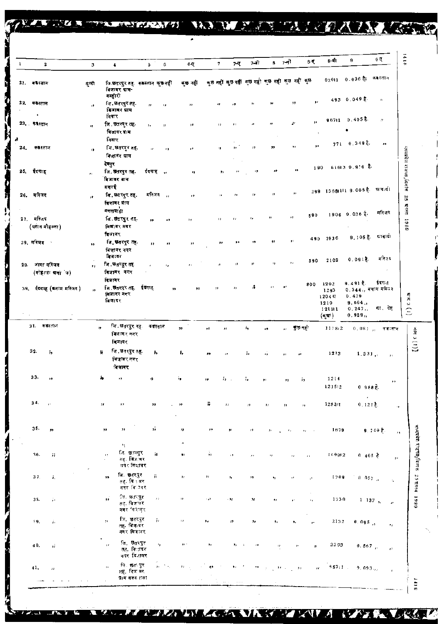|                                                   |   | <u> Andreas ann an Carl ann an Carl ann an Carl ann an Carl ann an Carl ann an Carl ann an Carl ann an Carl ann an </u> |         | VAL ST.                                          |              |      | œ            | т.     |           | <b>PASSED</b> | The property of the property property |         |        |
|---------------------------------------------------|---|-------------------------------------------------------------------------------------------------------------------------|---------|--------------------------------------------------|--------------|------|--------------|--------|-----------|---------------|---------------------------------------|---------|--------|
|                                                   |   | 6                                                                                                                       | 6-0     |                                                  | 7-ए          | 7-वी | 8.           | 7-स1   | 8-Q       | 8-बा          | 9                                     | 9 ਦ     | ≏<br>≈ |
| जि.छत्तरपुर तह. ककस्तान कुछ नहीं<br>बिजावर ग्राम∽ |   |                                                                                                                         | ৰ্ত নহী | কৃত নहीं কৃত নहीं কৃত নहीं কৃত নहीं कृत नहीं कृत |              |      |              |        |           |               | 62011 0.036 है: '                     | कबस्तान |        |
| बन्होरी<br>जि. छतरपुर तह.                         | Ħ | ,,                                                                                                                      | $, \,$  | ,,                                               | $\mathbf{r}$ | ,,   | $\mathbf{z}$ | $, \,$ | $\bullet$ |               | $493 - 0.049$ $\frac{3}{6}$           | h.      |        |

7

 $\overline{\mathbf{3}}$ 

बुको

 $\mathbf{1}$ 

N

Ł

**C**<br>F

 $\mathbf{2}$ 

21. कफेस्तान

 $40.$ 

 $41.$ 

 $\overline{\mathcal{L}}$ 

5i

 $\hat{\boldsymbol{\theta}}$ 

J.  $\mathbb{Z}^2$   $258$ 

| $96711 - 0.405$<br>$\mathcal{H}$<br>$\mathbf{r}$<br>F<br>23. कास्तान<br>जि. छत्तरपुर तह.<br>$^{\bullet}$<br>$\pmb{\cdot}$<br>л<br>,,<br>,,<br>$\mathbf{r}_\mathrm{f}$<br>$\mathbf{H}$<br>$\mathbf{H}$<br>विजायर ग्राम<br>निवार<br>771 0.349 %,<br>$\bullet\bullet$<br>32<br>,,<br>24. कब्रस्तान<br>जि. छतरपुर तह.<br>,,<br>$\boldsymbol{r}$<br>12<br>÷,<br>$\mathbf{H}$<br>,,<br>$\bullet$ .<br>13<br>विजायर ग्राम<br>देवपुर<br>61613 0.916 卷<br>190<br>25. ईदगाह<br>55<br>जि. छतरपुर तह.<br>र्दबगाह ,,<br>39<br>٠,<br>×,<br>٠,<br>13<br>$\mathcal{H}$<br>विजावर अभ<br>मगरई<br>299 13681111 9.005 है. ग्राम्बद्धी<br>$\boldsymbol{\mu}$<br>26. मस्जिद<br>मस्जिद ,,<br>जि. छतरपुर तह.<br>11<br>$\pmb{\cdot}$<br>ο.<br>$\mathbf{r}$<br>,,<br>y B<br>बिजावर ग्राम<br>बकसबाहा।<br>बकसबाहा<br>1906 0.036 %<br>590<br>Ĥ.<br>27. मस्जिद<br>,,<br>जि. छेत्ररघुर तह.<br>$\pmb{\eta}$<br>$\mathbf{r}$<br>,,<br>,,<br>, ,<br>$\overline{\phantom{a}}$<br>(पठान मोहल्ला)<br>विजादर नगर<br>विजादर<br>$9.1053$ .<br>490 1936<br>,,<br>29. मस्जिद<br>जि. छतरपुर तह.<br>$^{\bullet}$<br>,,<br>55<br>,,<br>$\pmb{\mathfrak{z}}$<br>$\bullet\bullet$<br>,,<br>,,<br>बिजावर नगर<br>ৰিৰাবৰ<br>$0.0910$ .<br>2102<br>590<br>,,<br>$\mathbf{r}_{\mathbf{r}}$<br>29. जामा मस्जिद<br>,,<br>जि. छतरपुर तह<br>11<br>й<br>٠,<br>$^{\prime}$<br>$\pm\pm$<br>(सोहत्ता ग्रजांज)<br>विजावर नगर<br>विजावर<br>9.491 年<br>1202<br>800<br>A.<br>$\mathbf{r}$<br>$\bullet$<br>नि अतरपुर तह<br>ईदगाह<br>39. ईदग्राह (बनाम मस्जिद)<br>,,<br>$\pmb{\cdots}$<br>,,<br>,,<br>0.344,, बनाम मस्जिद<br>$\mathbf{a}$<br>1293<br>बिजावर नगर<br>0.429<br>1204万<br>बिजादर<br>9.664,<br>1210<br>0.247<br>121111<br>0.929,<br>(बुग्रा)<br>31. कबेहतीने<br>जि , छतरपुर नह<br>कबस्तान<br>$\mathbf{a}$<br>,, ¶তসৰ্ী<br>33<br>٠,<br>1178,2<br>٠,<br>Й<br>,,<br>जिजावर नगर<br>विजावर<br>32.<br>जि. छतरपुर तह.<br>٠,<br>报<br>ь,<br>ь,<br>1213<br>÷,<br>ä<br>1,331,7<br>$\bullet$<br>٠,<br>,,<br>,,<br>विज्ञावर नगर<br>विजावर<br>33.<br>à,<br>۶,<br>'n<br>1214<br>$, \,$<br>93<br>$\mathbf{r}$<br>μ,<br>55<br>$\bullet$<br>,,<br>99<br>121512<br>$0.988E$ .<br>34.<br>Б<br>128311<br>$0, 121$ $\frac{3}{6}$ .<br>$\mathbf{P}^{\star}$<br>31<br>,,<br>,,<br>$\mathbf{r}$<br>,,<br>$\boldsymbol{\mu}$<br>$\mathbf{r}$<br>11<br>73<br>35.<br>ö.<br>33<br>$\mathbf{12}$<br>1679<br>$9.749$ $\frac{1}{5}$ .<br>,,<br>$\ddot{}$<br>,,<br>$\mathbf{r}_1$<br>$\mathbf{r}_{\mathrm{d}}$<br>$\pi_{\mathcal{I}}$ , $\pi_{\mathcal{I}}$<br>$\sigma$<br>H,<br>जि. छुङरपुर<br>ÿ,<br>36.<br>ij.<br>77<br>$\bullet$ :<br>169912<br>$\pm$<br>0 $405\frac{3}{5}$<br>$\mathbf{r}$<br>$\mathbf{H}$<br>$\mathcal{F}$ ?<br>$\epsilon$ )<br>$\mathbf{r}$ .<br><sub>सह</sub> . बिज.वर<br>तमेर सिक्षावर<br>बि. छतरपुर<br>ÿ.<br>37.<br>г,<br>1709<br>, ,<br>,,<br>$\boldsymbol{\mu}$<br>13<br>0.057<br>٠,<br>$\mathbf{H}$<br>$\mathbf{r}_\mathrm{f}$<br>$\mathfrak{c}^*$<br>तह विकवर<br>ाउ<br>नगर बि⊡वर<br>$\cdot$<br>िन, छतापुर<br>$\overrightarrow{ }$<br>$\bar{z}$<br>,,<br>38.<br>1730<br>ĵэ.<br>الأجاء<br>$-2\pi$<br>24.<br>$1 - 137,$ ,<br>$\mathbf{r}_\mathrm{f}$<br>93<br>$\mathbf{r}^{\perp}$<br>तह, विजायर<br>नगर विशेषुर<br>$\epsilon$<br>जि. छतरपुर<br>ĩ1.<br>$\mathbf{r}$<br>$\mathcal{F} \mathcal{F}$<br>2132<br>-19,<br>$\bullet$ .<br>h.<br>$\boldsymbol{r}$<br>۰,<br>$0.095$ ,<br>$\pmb{\tau}_t$<br>۰,<br>,,<br>तह. बिजाबर<br>नगर विज्ञाबर | 493 0.049 E<br>h.                        | 9F.<br>,, |  | ,, | ,, | ò. | $\pmb{\mathcal{H}}$ | जि. छतरपुर तह.<br>दिजावर ग्राम | y, | $22.$ कब्रैस्तान |
|--------------------------------------------------------------------------------------------------------------------------------------------------------------------------------------------------------------------------------------------------------------------------------------------------------------------------------------------------------------------------------------------------------------------------------------------------------------------------------------------------------------------------------------------------------------------------------------------------------------------------------------------------------------------------------------------------------------------------------------------------------------------------------------------------------------------------------------------------------------------------------------------------------------------------------------------------------------------------------------------------------------------------------------------------------------------------------------------------------------------------------------------------------------------------------------------------------------------------------------------------------------------------------------------------------------------------------------------------------------------------------------------------------------------------------------------------------------------------------------------------------------------------------------------------------------------------------------------------------------------------------------------------------------------------------------------------------------------------------------------------------------------------------------------------------------------------------------------------------------------------------------------------------------------------------------------------------------------------------------------------------------------------------------------------------------------------------------------------------------------------------------------------------------------------------------------------------------------------------------------------------------------------------------------------------------------------------------------------------------------------------------------------------------------------------------------------------------------------------------------------------------------------------------------------------------------------------------------------------------------------------------------------------------------------------------------------------------------------------------------------------------------------------------------------------------------------------------------------------------------------------------------------------------------------------------------------------------------------------------------------------------------------------------------------------------------------------------------------------------------------------------------------------------------------------------------------------------------------------------------------------------------------------------------------------------------------------------------------------------------------|------------------------------------------|-----------|--|----|----|----|---------------------|--------------------------------|----|------------------|
|                                                                                                                                                                                                                                                                                                                                                                                                                                                                                                                                                                                                                                                                                                                                                                                                                                                                                                                                                                                                                                                                                                                                                                                                                                                                                                                                                                                                                                                                                                                                                                                                                                                                                                                                                                                                                                                                                                                                                                                                                                                                                                                                                                                                                                                                                                                                                                                                                                                                                                                                                                                                                                                                                                                                                                                                                                                                                                                                                                                                                                                                                                                                                                                                                                                                                                                                                                          |                                          |           |  |    |    |    |                     | नियार                          |    |                  |
|                                                                                                                                                                                                                                                                                                                                                                                                                                                                                                                                                                                                                                                                                                                                                                                                                                                                                                                                                                                                                                                                                                                                                                                                                                                                                                                                                                                                                                                                                                                                                                                                                                                                                                                                                                                                                                                                                                                                                                                                                                                                                                                                                                                                                                                                                                                                                                                                                                                                                                                                                                                                                                                                                                                                                                                                                                                                                                                                                                                                                                                                                                                                                                                                                                                                                                                                                                          |                                          |           |  |    |    |    |                     |                                |    |                  |
|                                                                                                                                                                                                                                                                                                                                                                                                                                                                                                                                                                                                                                                                                                                                                                                                                                                                                                                                                                                                                                                                                                                                                                                                                                                                                                                                                                                                                                                                                                                                                                                                                                                                                                                                                                                                                                                                                                                                                                                                                                                                                                                                                                                                                                                                                                                                                                                                                                                                                                                                                                                                                                                                                                                                                                                                                                                                                                                                                                                                                                                                                                                                                                                                                                                                                                                                                                          | <u>युध्यप्रदेश राजेपत्र ,</u> दिनॉर्क 25 |           |  |    |    |    |                     |                                |    |                  |
|                                                                                                                                                                                                                                                                                                                                                                                                                                                                                                                                                                                                                                                                                                                                                                                                                                                                                                                                                                                                                                                                                                                                                                                                                                                                                                                                                                                                                                                                                                                                                                                                                                                                                                                                                                                                                                                                                                                                                                                                                                                                                                                                                                                                                                                                                                                                                                                                                                                                                                                                                                                                                                                                                                                                                                                                                                                                                                                                                                                                                                                                                                                                                                                                                                                                                                                                                                          |                                          |           |  |    |    |    |                     |                                |    |                  |
|                                                                                                                                                                                                                                                                                                                                                                                                                                                                                                                                                                                                                                                                                                                                                                                                                                                                                                                                                                                                                                                                                                                                                                                                                                                                                                                                                                                                                                                                                                                                                                                                                                                                                                                                                                                                                                                                                                                                                                                                                                                                                                                                                                                                                                                                                                                                                                                                                                                                                                                                                                                                                                                                                                                                                                                                                                                                                                                                                                                                                                                                                                                                                                                                                                                                                                                                                                          |                                          |           |  |    |    |    |                     |                                |    |                  |
|                                                                                                                                                                                                                                                                                                                                                                                                                                                                                                                                                                                                                                                                                                                                                                                                                                                                                                                                                                                                                                                                                                                                                                                                                                                                                                                                                                                                                                                                                                                                                                                                                                                                                                                                                                                                                                                                                                                                                                                                                                                                                                                                                                                                                                                                                                                                                                                                                                                                                                                                                                                                                                                                                                                                                                                                                                                                                                                                                                                                                                                                                                                                                                                                                                                                                                                                                                          | ATE 1989<br>मस्जिद                       |           |  |    |    |    |                     |                                |    |                  |
|                                                                                                                                                                                                                                                                                                                                                                                                                                                                                                                                                                                                                                                                                                                                                                                                                                                                                                                                                                                                                                                                                                                                                                                                                                                                                                                                                                                                                                                                                                                                                                                                                                                                                                                                                                                                                                                                                                                                                                                                                                                                                                                                                                                                                                                                                                                                                                                                                                                                                                                                                                                                                                                                                                                                                                                                                                                                                                                                                                                                                                                                                                                                                                                                                                                                                                                                                                          | লাবাৰী                                   |           |  |    |    |    |                     |                                |    |                  |
|                                                                                                                                                                                                                                                                                                                                                                                                                                                                                                                                                                                                                                                                                                                                                                                                                                                                                                                                                                                                                                                                                                                                                                                                                                                                                                                                                                                                                                                                                                                                                                                                                                                                                                                                                                                                                                                                                                                                                                                                                                                                                                                                                                                                                                                                                                                                                                                                                                                                                                                                                                                                                                                                                                                                                                                                                                                                                                                                                                                                                                                                                                                                                                                                                                                                                                                                                                          | मस्तिर                                   |           |  |    |    |    |                     |                                |    |                  |
|                                                                                                                                                                                                                                                                                                                                                                                                                                                                                                                                                                                                                                                                                                                                                                                                                                                                                                                                                                                                                                                                                                                                                                                                                                                                                                                                                                                                                                                                                                                                                                                                                                                                                                                                                                                                                                                                                                                                                                                                                                                                                                                                                                                                                                                                                                                                                                                                                                                                                                                                                                                                                                                                                                                                                                                                                                                                                                                                                                                                                                                                                                                                                                                                                                                                                                                                                                          | ईरगह                                     |           |  |    |    |    |                     |                                |    |                  |
|                                                                                                                                                                                                                                                                                                                                                                                                                                                                                                                                                                                                                                                                                                                                                                                                                                                                                                                                                                                                                                                                                                                                                                                                                                                                                                                                                                                                                                                                                                                                                                                                                                                                                                                                                                                                                                                                                                                                                                                                                                                                                                                                                                                                                                                                                                                                                                                                                                                                                                                                                                                                                                                                                                                                                                                                                                                                                                                                                                                                                                                                                                                                                                                                                                                                                                                                                                          | $\left(1\right)$ s riva<br>सा. देह       |           |  |    |    |    |                     |                                |    |                  |
|                                                                                                                                                                                                                                                                                                                                                                                                                                                                                                                                                                                                                                                                                                                                                                                                                                                                                                                                                                                                                                                                                                                                                                                                                                                                                                                                                                                                                                                                                                                                                                                                                                                                                                                                                                                                                                                                                                                                                                                                                                                                                                                                                                                                                                                                                                                                                                                                                                                                                                                                                                                                                                                                                                                                                                                                                                                                                                                                                                                                                                                                                                                                                                                                                                                                                                                                                                          | $0$ , $0$ \$ $1$ $_{10}$ । क्लाक्तान     |           |  |    |    |    |                     |                                |    |                  |
|                                                                                                                                                                                                                                                                                                                                                                                                                                                                                                                                                                                                                                                                                                                                                                                                                                                                                                                                                                                                                                                                                                                                                                                                                                                                                                                                                                                                                                                                                                                                                                                                                                                                                                                                                                                                                                                                                                                                                                                                                                                                                                                                                                                                                                                                                                                                                                                                                                                                                                                                                                                                                                                                                                                                                                                                                                                                                                                                                                                                                                                                                                                                                                                                                                                                                                                                                                          | $\alpha$                                 |           |  |    |    |    |                     |                                |    |                  |
|                                                                                                                                                                                                                                                                                                                                                                                                                                                                                                                                                                                                                                                                                                                                                                                                                                                                                                                                                                                                                                                                                                                                                                                                                                                                                                                                                                                                                                                                                                                                                                                                                                                                                                                                                                                                                                                                                                                                                                                                                                                                                                                                                                                                                                                                                                                                                                                                                                                                                                                                                                                                                                                                                                                                                                                                                                                                                                                                                                                                                                                                                                                                                                                                                                                                                                                                                                          | $\pmb{\cdots}$                           |           |  |    |    |    |                     |                                |    |                  |
|                                                                                                                                                                                                                                                                                                                                                                                                                                                                                                                                                                                                                                                                                                                                                                                                                                                                                                                                                                                                                                                                                                                                                                                                                                                                                                                                                                                                                                                                                                                                                                                                                                                                                                                                                                                                                                                                                                                                                                                                                                                                                                                                                                                                                                                                                                                                                                                                                                                                                                                                                                                                                                                                                                                                                                                                                                                                                                                                                                                                                                                                                                                                                                                                                                                                                                                                                                          | $\alpha$                                 |           |  |    |    |    |                     |                                |    |                  |
|                                                                                                                                                                                                                                                                                                                                                                                                                                                                                                                                                                                                                                                                                                                                                                                                                                                                                                                                                                                                                                                                                                                                                                                                                                                                                                                                                                                                                                                                                                                                                                                                                                                                                                                                                                                                                                                                                                                                                                                                                                                                                                                                                                                                                                                                                                                                                                                                                                                                                                                                                                                                                                                                                                                                                                                                                                                                                                                                                                                                                                                                                                                                                                                                                                                                                                                                                                          |                                          |           |  |    |    |    |                     |                                |    |                  |
|                                                                                                                                                                                                                                                                                                                                                                                                                                                                                                                                                                                                                                                                                                                                                                                                                                                                                                                                                                                                                                                                                                                                                                                                                                                                                                                                                                                                                                                                                                                                                                                                                                                                                                                                                                                                                                                                                                                                                                                                                                                                                                                                                                                                                                                                                                                                                                                                                                                                                                                                                                                                                                                                                                                                                                                                                                                                                                                                                                                                                                                                                                                                                                                                                                                                                                                                                                          | $\mathcal{D}$                            |           |  |    |    |    |                     |                                |    |                  |
|                                                                                                                                                                                                                                                                                                                                                                                                                                                                                                                                                                                                                                                                                                                                                                                                                                                                                                                                                                                                                                                                                                                                                                                                                                                                                                                                                                                                                                                                                                                                                                                                                                                                                                                                                                                                                                                                                                                                                                                                                                                                                                                                                                                                                                                                                                                                                                                                                                                                                                                                                                                                                                                                                                                                                                                                                                                                                                                                                                                                                                                                                                                                                                                                                                                                                                                                                                          | $\epsilon_{\rm{c}}$                      |           |  |    |    |    |                     |                                |    |                  |
|                                                                                                                                                                                                                                                                                                                                                                                                                                                                                                                                                                                                                                                                                                                                                                                                                                                                                                                                                                                                                                                                                                                                                                                                                                                                                                                                                                                                                                                                                                                                                                                                                                                                                                                                                                                                                                                                                                                                                                                                                                                                                                                                                                                                                                                                                                                                                                                                                                                                                                                                                                                                                                                                                                                                                                                                                                                                                                                                                                                                                                                                                                                                                                                                                                                                                                                                                                          | $\mathcal{F}$                            |           |  |    |    |    |                     |                                |    |                  |
|                                                                                                                                                                                                                                                                                                                                                                                                                                                                                                                                                                                                                                                                                                                                                                                                                                                                                                                                                                                                                                                                                                                                                                                                                                                                                                                                                                                                                                                                                                                                                                                                                                                                                                                                                                                                                                                                                                                                                                                                                                                                                                                                                                                                                                                                                                                                                                                                                                                                                                                                                                                                                                                                                                                                                                                                                                                                                                                                                                                                                                                                                                                                                                                                                                                                                                                                                                          | $\mathcal{I}$ :                          |           |  |    |    |    |                     |                                |    |                  |

जि. छतरपुर<br>तह, विमावर<br>नगर विजावर थि. 85तः पुर<br>तहें, विज्ञ वर<br>ग्राम बक्स राया  $\frac{1}{H}$  ,  $\frac{1}{2}$  ,  $-557:1$  $\mathbf{u}$ J,  $\epsilon$ J.  $\bar{z}$ ,,  $\alpha$  $0.093.,$  $\bar{r}$  $\pm$  :  $\sim$   $\sim$  $\overline{a}$ 

x,

 $\tau_1$ 

T

 $\boldsymbol{\theta}$ 

VЛ

 $\boldsymbol{Z}$ r

33

 $6111$ 

 $0.567$   $_{\odot}$ 

 $\ddot{v}$ 

WATER LEAD

2293

 $\ddot{\phantom{1}}$ 

 $\boldsymbol{\eta}$ 

ZТ

 $\boldsymbol{A}$ 

 $^{\prime}$ 

₹√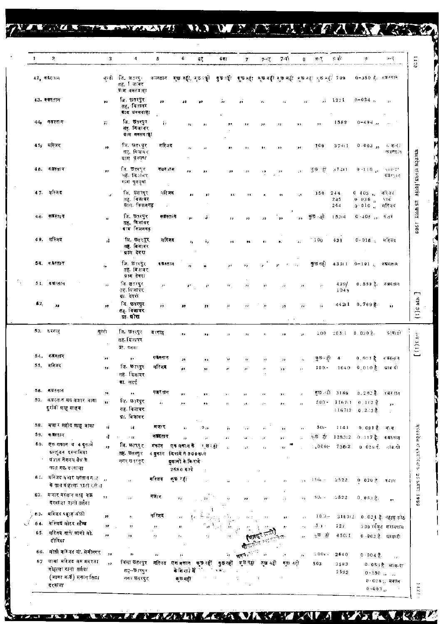TERRITORIAN DE L'ANTARCE

|     | 2                                                                   | 3                       | 4.                                           | 5                  | G                                               | 67                   | 641                         | 7                    | $7 - 7$                    | 7-7)                        | ₿                    | $\mathbf{B} \cdot \mathbf{T}$                                            | 8 वो              | 9                                         | ्र-म्                                                                                     |
|-----|---------------------------------------------------------------------|-------------------------|----------------------------------------------|--------------------|-------------------------------------------------|----------------------|-----------------------------|----------------------|----------------------------|-----------------------------|----------------------|--------------------------------------------------------------------------|-------------------|-------------------------------------------|-------------------------------------------------------------------------------------------|
|     | $42$ , काउंटगंग                                                     | सन्दर                   | বি ভৱৰেু≀<br>तह, जिल्लिए                     | कारतान             |                                                 |                      |                             |                      |                            |                             |                      | ৰ্ভ বহী, মৃত ছৌ বুছ জী। ৰূভ ধ্য়া মুছ বহী ৰূভ বঢ়ি খুছ ন্যা খুছ ন্যা 709 |                   | 0-380 है. इ.स.स्वास                       |                                                                                           |
|     |                                                                     |                         | ग्रे । मण्डल व न न न न न न न का              |                    |                                                 |                      |                             |                      |                            |                             |                      |                                                                          |                   |                                           |                                                                                           |
|     | 43. कब्रस्तान                                                       | m                       | ৱি. প্তৰংমুৰ<br>तह, बिजावर<br>बाद बनसवाहा    | $\pmb{\mu}$        | 38                                              |                      | j)                          | ¥Ė.                  | $^{\prime}$                | $\mathbf{r}$                | $\mathbf{r}$         |                                                                          | $7 - 1271$        | $0 - 024$ ,                               | $\mathbf{5}$ (                                                                            |
| 44, | कबस्तान                                                             | ij.                     | जि. छत्तरपुर<br>तह विजावर<br>ग्राम वक्सवाहा  | į,                 | $\mathcal{H}$                                   | $\mathbf{H}$         | ,,                          | ,,                   | ,,                         | ۰,                          | ,,                   | $\bullet$                                                                | 1589              | $0 - 494$ $_{II}$                         | $\sim 100$                                                                                |
|     | 45, मस्जिद                                                          | $\bullet$               | जि. छत्तरपुर<br>तह, विजायर<br>ग्राम पुनगना   | मस्जिद             | $\mathbf{r}_k$                                  | $\mathbf{a}$         | J)                          |                      |                            | œ                           | ×                    | 100                                                                      | 374:1             | $0 - 003$ ,                               | आ वर्षा<br>করসালে                                                                         |
| 46. | कअस्ताव                                                             | $\bullet$               | ति. छत्रपूर<br>नहें, विभावर<br>মংদ থুববুৰা   | कदर तम             | ,,                                              | y,                   | 33                          | 33                   | $\sim$                     | $\pmb{33}$                  | ۰,                   | ত্ত ৱা                                                                   | 37401             | 0.110                                     | जाबाद !<br>假耳形征子                                                                          |
|     | 47. मन्जिद                                                          | $\boldsymbol{u}$        | সি छतरप्?<br>तह, विजावर<br>प्राप्त कियनगढ    | $\lambda$<br>भरिजद | g c                                             | $\pmb{\nu}$          | 33                          | 33                   | э.                         | ,                           | è,                   | 150                                                                      | 244<br>245<br>244 | 0.403,<br>$0 - 036$<br>$0<0.10^{-7}$      | भरिजद<br>ЧT4.<br>भरित्र                                                                   |
|     | 46. कबस्तान                                                         | $\alpha$                | जि. छत्तरपुर<br>तह. विजावर<br>याम किन्नगढ़   | कबरत न             | ,,                                              | ÷                    | ,,                          | ,,                   | 99                         | ,,                          | ٠,                   | কুछ⊹हो                                                                   | 15314             | $0.405$ , $\frac{1}{3}$                   |                                                                                           |
|     | 49. मस्जिद                                                          | ú.                      | जि. छत्तरपुर्<br>तह. बिज⊺वर<br>प्राप देवरा   | मस्जिद             | $\mathbf{r}_k$                                  | ï,                   | $^{\circ}$                  | 73                   | 96                         | $\mathbf{p}_1$              | $\mathbf{a}$         | - 100                                                                    | 438               | $0 - 016$ .                               | म≹जद                                                                                      |
|     | 5व. कश्वरतात                                                        | $\mathbf{z}$            | जि. धारपुर<br>तह विशवर<br>प्राय देवरा        | ब ब्रस्तान         | $\mathbf{r}$                                    | ĸ                    | $\mathbf{y}$ (              | ٠,                   |                            | $\cdot$<br>$\mathbf{r}$     | $\mathcal{L}_2$      | कुछ नही                                                                  | 43111             | $0 - 101$ $\mu$                           | कपस्तान                                                                                   |
|     | 51. कब्रेलान                                                        | $\mathbf{1}$            | जि. छतरपुर<br>तद्द, विज्ञाबर<br>ग्रा देवरा   | $\mu$ .            | ¥.                                              | $\mathfrak{c}^*$     | $\mathcal{F}$               | $\boldsymbol{r}$     | g f                        | $\bar{J}$ , $\bar{J}$       |                      |                                                                          | 429/<br>1048      | 0 559 है.                                 | ाः ब्रास्तु १ न                                                                           |
| 52. | $\mathbf{z}$                                                        | $\mathbf{r}$            | जि. छतरपुर<br>तह विजावर<br>या घोरा           | Jś.                | $\bullet$                                       | $\ddot{\phantom{a}}$ | уJ                          | $\mathcal{S}$        | $\boldsymbol{r}$           | 72<br>$\sim$ 100 $^{\circ}$ | $\mathbf{r}$ .       | $\mathbf{R}$                                                             |                   | 44211 0.769 克                             | 33                                                                                        |
|     | 53. ६२ गानु                                                         | सन्नो                   | जि. छत्त्युर<br>तह दिजावर<br>ग्रे?, पनया     | द रगाह             | 99                                              | ,,                   | л                           | $\mathcal{H}$        | $\mathcal{L}_{\mathrm{B}}$ | ,,                          | łł.                  |                                                                          | $200 - 205:1$     | $0.020$ 第.                                | ावादी                                                                                     |
|     | 54. कड़श्ताद                                                        | ,,                      | ,,                                           | कास्तान            | 99                                              |                      | ٠,                          | t s                  | 5 <sub>1</sub>             | ,,                          |                      | কুछ⊣हो                                                                   | 4                 | 0.0∷1 है ⊣वस्तान                          |                                                                                           |
|     | 55. मस्जिद                                                          | 39                      | जि. छारपुर<br>तहः विजायर                     | मस्जिद             | ,,                                              | 53<br>,,             | J)                          | ŗ.                   |                            | ,,                          | J.                   | $100 -$                                                                  | 1040              | $0,010$ है                                | सान दो                                                                                    |
|     |                                                                     |                         | द्रा.सटर्ई                                   |                    |                                                 |                      |                             |                      |                            |                             |                      |                                                                          |                   |                                           |                                                                                           |
| 56. | कग्रस्तान<br>57. वग्नस्तान मय मजार बाबा                             | $\rightarrow$           | $\bullet\bullet$                             | कबर नाम            | ,,                                              |                      |                             |                      |                            |                             |                      |                                                                          | কৃত বরী 3189      | 0.202 है. अबस्तान                         |                                                                                           |
|     | दुर्रातो शाह साहब                                                   | ys.                     | जि. छ∄रपुर<br>तह. विजावर<br>ग्रा. बिजावर     | $\bar{D}$          | ,,                                              | ,,                   | л                           | y p                  | $\mathbf{J}$ ).            | $\bullet$ .                 | $^{\prime}$          |                                                                          |                   | $500 - 11671 - 0.192$<br>$116712 - 0.233$ | ,,                                                                                        |
|     | 58. मजार शहोद णाहु बावा                                             | $\boldsymbol{n}$        | ĩΙ.                                          | मजार               | ,,                                              | $\delta_{\rm 1D}$    | j.                          | a é                  |                            |                             |                      | $50 -$                                                                   | 1141              | 0.091 है. वाग                             |                                                                                           |
| 59. | क बस्तान                                                            | ηŢ.                     | $\sim$ ee                                    | कबस्तान            | й                                               | $\mu$                | п                           |                      |                            | ,,                          |                      | कुछ हो।                                                                  | 1283:2            | 0.117 है- बज़रतान                         |                                                                                           |
| 60. | एक गकान व 4 दूकामें                                                 | $\overline{1}$          | जि. छतरपुर                                   | मकान               | एक मकान के                                      | ≀ छ ⊧हो              | s.                          |                      |                            | 15                          |                      |                                                                          | $1,0001 - 7362$   | 0 026 ई. जाक,दी                           |                                                                                           |
|     | ग्रन्जुन्न इस्लामिया<br>पंजाब नेगनल बैक के<br>पास गरु दरवाजा        |                         | तह. छतरपुर<br>नगर छत्रपुर,                   |                    | 4 बुकान दिश देने 900 रू.मे<br>दुकानों के किराये |                      |                             |                      |                            |                             |                      |                                                                          |                   |                                           |                                                                                           |
|     | 61. सरिजय मजार मस्तान क <i>ा</i> क<br>के पास मोहरुला राजी रालं त    |                         | o.                                           | मस्जिद             | 2580 हैं थे<br>ক্ষ বয়                          |                      |                             |                      |                            | y,                          |                      | $_{54}$ = 15 $\hat{n}_0$ +                                               | 2522              | 0.020 <sub>0</sub>                        | ৰমান                                                                                      |
|     | 62. मजोर मस्तान शाह मऊ<br>दरबाजा रानो तलैया                         | $\bullet$               | y j                                          | मजार               | ,,                                              | $\rightarrow$        | IJ                          | ,,                   | ,,                         | $\bar{z}$                   | $\ddot{\phantom{1}}$ | $50 +$                                                                   | $-522$            | 0.053 <sub>5</sub>                        | ,,                                                                                        |
|     | 63. मस्जिद पहाड़ जोठी                                               | ,,                      | IJ.                                          | मस्जिद             | ç,                                              |                      |                             |                      |                            | $\mathbf{r}$                | $\pm$                | 10                                                                       |                   | 510312 0.024 है पहाड़ कोठ                 |                                                                                           |
| 64. | मस्जिद मोटर स्टैण्ड                                                 | 17                      | 13                                           | $^{\prime}$        |                                                 |                      |                             |                      |                            | ر و                         |                      | $5 +$                                                                    | 127               |                                           | 700 गणित सरायपास                                                                          |
| 65. | मस्त्रिद नाले वामी मो.<br>टोरिया                                    | ,,                      | ,,                                           | $\pmb{\cdot}$      | ٠,                                              | ×,                   |                             |                      |                            |                             | ç,                   | ⊕ छ हो                                                                   | 650.1             |                                           | 0 002 है. प्रावादी                                                                        |
|     | 66. मोती मरिजद मो. सेमीनगर                                          | $\overline{\mathbf{z}}$ | 99                                           | л                  | $\boldsymbol{r}$ :                              |                      | $\mathbf{r}_{\mathrm{F}}$ . | $\mathbf{R}^{(1)}$ , |                            | y1.                         | $\mathbf{r}_\perp$   | $200 +$                                                                  | 2640              | $0 - 004$ 충.                              |                                                                                           |
| 67  | जामा मरितद सम मदरसा<br>मोहल्ला रानी तलैया<br>(जामा वार्ड) मकान सिटा | 5.2                     | जिलाछतरपुर मस्जिद<br>तह⊸छारपुर<br>नवर छतरपुर |                    | एक স্কান কৃত-বর্ট<br>के किरोने में स<br>ৰ্তনৱী  |                      | कुछ नहीं<br>$\sim 40\%$     | ङ्छनहो<br>÷.         | कस नही<br>÷                | করা নলী                     |                      | 503                                                                      | 2583<br>2583      |                                           | $\mathbf{J}(\mathbf{r})$<br>0--05∻है आवन्दा<br>$0.250$ $_{11}$ $_{14}$<br>$0.028$ ), मकान |

A K

**STATISTICS** 

*NAZARA LESA VAREZ KALA 1975. KALERALA* 

π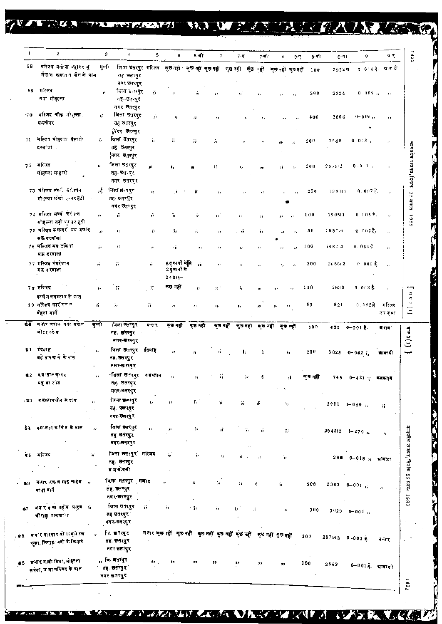## WEITERS DATE AND VAN AVAIS TENNES MANTE NAT

|     | $\bf{2}$                                                           | 3            | 4                                                      | 5         | 6                                                                   | $6 - 1$         | 7                   | $7 - 0$                    | 7-वीं (                 | H.                                                                               | 8-वी<br>$9 - 7$ | $8 - 91$           | ņ.                      | 9 T                     |
|-----|--------------------------------------------------------------------|--------------|--------------------------------------------------------|-----------|---------------------------------------------------------------------|-----------------|---------------------|----------------------------|-------------------------|----------------------------------------------------------------------------------|-----------------|--------------------|-------------------------|-------------------------|
| GB. | मस्जिद वर्गाया वहादर जू<br>र्शवान कबस्त न जेल के पास               | मूलो         | तह छतरपुर<br>नगर छत्तरपुर                              |           |                                                                     |                 |                     |                            |                         | जिलाछतरपुर मस्जित कुछ नहीं कुछ नहीं कुछ नहीं कुछ नहीं कुछ नहीं कुछ नहीं कुछ नहीं | 100             | $2922$ प           | 0 0 4 दे द्यावदी        |                         |
|     | 69 मेरिजद<br>नदा मोहस्ला                                           | y)           | जिला ६.(रपुर<br>तह-छतरपुर<br>नगर छतरपुर                | W.        | $\pm 1$                                                             | å,              | 12                  | $\mathcal{L}(\mathcal{C})$ | $\mathbf{J}_\mathrm{A}$ | ,,<br>$\mathbf{a}$                                                               | 390             | 2324               | 0.005                   | $\sim$ 100 $\mu$        |
| -70 | 4 स्जिद चौक पो <i>्</i> ल्ला.<br>समनीगर                            | $\vec{r}$    | विला छतरपुर<br>तह छतरपुर<br>निगर छत्त्युर              | ÿ,        | $\pmb{\cdot}$                                                       | 13              | υ,                  | ,,                         | 21                      | $\overline{1}$                                                                   | 400             | 2664               | 0-00a,                  | $\mathbf{r}_\mathrm{F}$ |
|     | 71 मस्जिद मोहरुला बसारी<br>दरवाजा .                                | ä.           | जिला सतरपुर<br>तह छतरपुर<br>¦नगर छ <sub>त</sub> रपुर   | Ϋ,        | 5                                                                   | ñ               | ь,                  |                            | ,,                      | $\boldsymbol{r}$<br>18                                                           | 200             | 2640               | $0.0:3$ ,               | $\mathbf{r}$ (          |
|     | 72 बस्जिद<br>मोहल्ला मन्हारो                                       | 'n           | লিলং তর ন্দুং<br>तह− छतः पुर<br>नगर छतरपुर             | g.        | ۰,                                                                  |                 | 55                  | ٠,                         | 88                      | 1Ï.<br>,,                                                                        | 200             | 26.612             | $0 - 0$ . $1 - 1$       | $\sim$                  |
|     | 73 महिजद संबर्ग फरों काम<br>मोहल्ला छोट∂्नर हटी                    | 弄。           | जिला छतरपुर<br>तह्र छतरपुर<br>नगर छत्रपुर              | H.        | ý.                                                                  | 莍               | a r                 |                            |                         | ٠.                                                                               | 250<br>Ŧ.       | 19814              | $0,007\,$ .             |                         |
|     | 74 मस्जिद सब्ज फरक्शन                                              | $\pmb{\Psi}$ | ú.                                                     | ñ         | 5,                                                                  | ü               | ÷Г                  | $\boldsymbol{\eta}$        | Ħ                       | 11                                                                               | 100             | 280511             | $0.0053$ ,              | $\bar{r}$ r             |
|     | मोहल्लाबड़ी फुमर हटी<br>75 मस्जिद कलन्दर मय मजार<br>मऊ दरवाजा      | $\mathbf{D}$ | ī,                                                     | Ŧ.        | 5,                                                                  | jr              | $\mathcal{F}^{\pm}$ | . <del>.</del>             | Ŧ,                      | $\mathcal{I}_I$<br>73                                                            | 50              | 1981.4             | 0.0028                  | $\tau$ r                |
|     | 76 मस्जिद मय तकिया<br>मऊ बरवाजा                                    | ÿ.           | Ħ                                                      | $\pmb{r}$ | ñ                                                                   | ,,              |                     | 73                         | t r                     | $\mathbf{J}$<br>,,                                                               | 100             | 59814              | ი, 0ი3 წ.               | $\mathbf{r}$            |
|     | 77 मस्जिद रंगरेजान<br>मऊ दरवाजा                                    | Ħ            | $\dddot{\imath}$                                       | ñ         | 6 दुकानो में[से<br>2 दुकानों से<br>$2400 -$                         | ٠i              | ÷,                  | ,,                         | $\bullet$               | ٠,                                                                               | 200             | 265612             | €.006 है.               | $\mathbf{r}$ .          |
|     | 7इ मस्जिद                                                          | ż,           | 77                                                     | Ξĩ.       | ৰত নৱী                                                              | п               | m 1                 | ь,                         | ъ,                      |                                                                                  | 150             | 2939               | $0.002$ $\frac{1}{6}$ . | $\mathbf{r}_1$          |
|     | कालेज कदस्तान के पात<br>79 मस्जिद कारीगरा <i>न</i><br>बेहुना मार्ग | 57           | - 77                                                   | TT.       | $\pmb{r}$ (                                                         | $\mathcal{F}$ : | 19                  | ٠,                         | 77                      | $\mathbf{1}$<br>٠,                                                               | 50              | 821                | ०.०७2 है. मस्जिद        | मन कुशा                 |
|     | 68 मजन मरोक नया सराय<br>यो र स्टैन्ड                               | जुम्नी       | ৰিলা ভৰতৰু<br>त <b>ह. स्तं</b> रपुर<br>नगर-ख्रास्पुर   | मजार      | कुछ नहीं                                                            | ৰত নহা          | मृत्त नहीं          | ৰূত নহী                    |                         | ৰ্চন্ট ৰূচন্ট                                                                    | 500             | $632 - 0 - 001$ .  |                         | ब राव                   |
|     | `9ा ईदगाह<br>बड़े डाक्ख ने के शंस                                  | 99           | जिला≅नरपुर ईदगाह<br>तह, छतरपुर<br>नमर-खत्त्युर         |           | $\boldsymbol{\mathsf{12}}$                                          | A,              | ñ                   | ι,                         | 'n                      | ъ.                                                                               | 200             |                    | $3028 - 0 - 042$ ;      | बाबादी                  |
|     | व.व म्तान मृन्दर्<br>महवारोड                                       | п            | ারিকা ভারতুতে ব্যালোন<br>तह, छत्तरपृर<br>मगर-छतरपुर ्  |           |                                                                     |                 | ü                   |                            |                         |                                                                                  |                 |                    | $0 - 421$ ij            |                         |
|     | ⇒≌3 मदस्तानजेन केपास                                               |              | जिला छतरपुर<br>तह. छतरपुर<br>नगर-चत्तरपुर              | $\bullet$ | $\mathbf{r}$                                                        | Γ,              | ä.                  | ¥.                         | 4                       | 57.                                                                              |                 | 2951 1-659 h       |                         | 猩                       |
|     | 84 क0 जल कॉलेन के मात                                              | $\mathbf{r}$ | जिला छतरपुर<br>तह, छतंरपुर<br>नगर-जगरपुर               | Ŧ,        |                                                                     | à,              | ñ                   | 57                         | ñ                       | ħ                                                                                |                 | $294512 - 1 - 270$ |                         | $\boldsymbol{\eta}$     |
| ₹5. | र्मास्जद<br>W.                                                     |              | त्रिला छत्तरपुर` मस्जिद<br>तह्, छत्तरपुर<br>ड़ ब बोदनी |           | Б,                                                                  | 5,              | 9                   | n v                        | 11                      | Ъr.                                                                              |                 |                    | 280 0-018 $\%$ अमिति    |                         |
|     | 19 मजार जल जाह साहब <sub>ा</sub><br>बांधी मर्ग                     |              | विलासतरपुर मजाद<br>तह. छतरपुर<br>नगर-खतरपुर            |           | $\overline{\mathbf{z}}$                                             | 瑾               | 'n.                 | Tì.                        | ij.                     | ő.                                                                               | 500             | $2303$ 0-001,      |                         |                         |
| 37  | मजरदवालहॅम लहम अ<br>चीराहा बाकवाना                                 |              | जिला छतरपुर<br>तह छतरपुर ।<br>नगर-छनरपुर               | h.        | ъ,                                                                  | - 17            | Ď.                  | h.                         | zj.                     | $\mathbf{r}_{\mathrm{f}}$                                                        | 300             |                    | $3029$ 0-001,           |                         |
|     | ३8 स.व.र यादगार नो रामुक्तिल<br>दुशा सिंगाइ। नदो के किनारे         |              | ति चारपुर<br>तह. खतरपुर<br>नगर छत रंपुर                |           | म गर कुछ सहीं कुछ नहीं कुछ नहीं कुछ नहीं कुछ नहीं कुछ नहीं कुछ नहीं |                 |                     |                            |                         |                                                                                  | 200             | $2279(2 - 0.004)$  |                         | बन्जर                   |
|     | β8 बजारगल्योः मियां, मोहत्ला<br>तनेया, ज मा वस्त्रिद के पात        |              | ,, जि. बतरपुर<br>तह. उत्तरपुर                          | ,,        |                                                                     |                 | ,,                  |                            |                         | ,,                                                                               | 100             | 2563               | 0-001 है. बाबादों       |                         |

A KOLUMANIA MARAJARA NA KAMA KU A

原本的

£

F

 $\frac{5}{4}$ 

**WAS IN BRANT** 

 $\sim$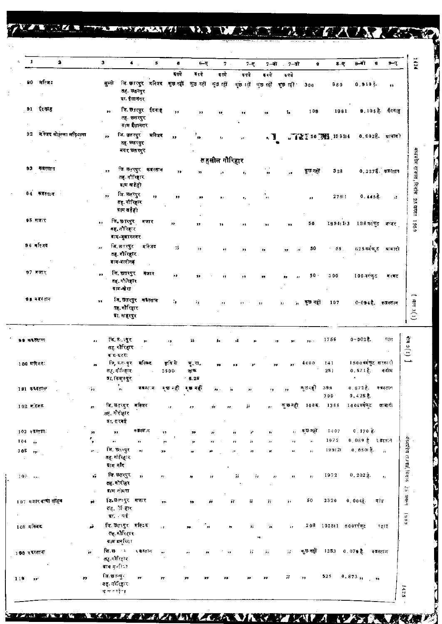VALUE TELEVISION NO WATER AND A ANGEL

| $\mathbf{1}$         | 2                                                                                                                                                                                                                                                                                                                                                                                                                                                                                                                                |              | 3                 |                                                                       | $\blacktriangle$<br>$\mathbf{s}$ | $\bullet$       | 6–ए                           | 7.1            | $7 - 7$                                            |                           | 7-बी. 7-सो               | 8                | $8 - 8$                     | 8–बी                             | भ−ए<br>$^{\circ}$             | 1424                                     |
|----------------------|----------------------------------------------------------------------------------------------------------------------------------------------------------------------------------------------------------------------------------------------------------------------------------------------------------------------------------------------------------------------------------------------------------------------------------------------------------------------------------------------------------------------------------|--------------|-------------------|-----------------------------------------------------------------------|----------------------------------|-----------------|-------------------------------|----------------|----------------------------------------------------|---------------------------|--------------------------|------------------|-----------------------------|----------------------------------|-------------------------------|------------------------------------------|
|                      |                                                                                                                                                                                                                                                                                                                                                                                                                                                                                                                                  |              |                   |                                                                       |                                  | दवये            | बदये                          | र ग्ये         | हपये                                               | र रथे                     | इपये                     |                  |                             |                                  |                               |                                          |
|                      | 90 मस्जिद                                                                                                                                                                                                                                                                                                                                                                                                                                                                                                                        |              |                   | सुल्नी जि. छतरपुर मस्जिद मुख्न नहीं कुछ नहीं कुछ नहीं<br>ग्रा. ईसानगर | तह. छतरपुर                       |                 |                               |                |                                                    |                           | कुछ । से कुछ ।ही कुछ ।ही | 300              | 880                         | $0, 910\frac{2}{3}$              | $\pmb{\cdot}$                 |                                          |
|                      | 91 ईदगाह                                                                                                                                                                                                                                                                                                                                                                                                                                                                                                                         |              |                   | ,,                                                                    | ति छत्त्पुर ईदगाह<br>तह. छसरपुर  | ,,              | ,,                            | 32             | ,,                                                 | 19                        | î,                       | 109              | 1981                        |                                  | 9, 105 है. ईंदगाह             |                                          |
|                      | 92 मेरिजद मोहल्ला लड़ियाना                                                                                                                                                                                                                                                                                                                                                                                                                                                                                                       |              |                   | जि. इतरपुर<br>$\bullet\bullet$<br>तह. छतरपुर<br>नगर छत रनुर           | ग्र∤म ईसानगर<br>मस्जिद           | y,              | ,,                            | $\pmb{1}_\ell$ | ø                                                  | ., J                      |                          |                  | <b>LT 2 2 50 期</b> 19 8 114 |                                  | $0.002\frac{3}{5}$ . प्रावादी |                                          |
|                      |                                                                                                                                                                                                                                                                                                                                                                                                                                                                                                                                  |              |                   |                                                                       |                                  |                 |                               | तहसील गौरिहार  |                                                    |                           |                          |                  |                             |                                  |                               |                                          |
|                      | 93 केंद्रस्तान                                                                                                                                                                                                                                                                                                                                                                                                                                                                                                                   |              |                   | ,,<br>तह. गौरिहार<br>ग्राम खडेही                                      | जि. छतरपुर कबस्तान               | ,,              |                               |                | ٠,                                                 | $\pmb{\cdots}$            |                          | ক্ষুত নতুঁা      | 328                         |                                  | $0.2275.$ कजलतान              | मध्यप्रदेश राजपत, दिनांश 25 ग्रगस्त 1989 |
|                      | $84 - \overline{\bullet}$ $\overline{\bullet}$ $\overline{\bullet}$ $\overline{\bullet}$ $\overline{\bullet}$ $\overline{\bullet}$ $\overline{\bullet}$ $\overline{\bullet}$ $\overline{\bullet}$ $\overline{\bullet}$ $\overline{\bullet}$ $\overline{\bullet}$ $\overline{\bullet}$ $\overline{\bullet}$ $\overline{\bullet}$ $\overline{\bullet}$ $\overline{\bullet}$ $\overline{\bullet}$ $\overline{\bullet}$ $\overline{\bullet}$ $\overline{\bullet}$ $\overline{\bullet}$ $\overline{\bullet}$ $\overline{\bullet}$ $\$ |              |                   | जि. छतरपुर<br>,,<br>तह. गौरिहार<br>प्राम खड़ेही                       | 33                               | ,,              | ,,                            | ,,             | ,,                                                 | ۰,                        |                          | $\bullet\bullet$ | 27611                       | 0.4458                           | $\hat{f}^{\rm A}_{\rm B}$     |                                          |
| \$5 मजार             |                                                                                                                                                                                                                                                                                                                                                                                                                                                                                                                                  |              | $\bullet \bullet$ | जि.छारपुर मजार<br><b>नह, नौरिहार</b><br>ब्राम-जुझारनगर                |                                  | $\bullet$       | 99                            | ,,             | ,,                                                 | $^{\rm 34}$               | $\overline{\phantom{a}}$ | 50               |                             |                                  | 1994:13 188वर्तकुट अन्जर      |                                          |
| 96 मस्त्रिद          |                                                                                                                                                                                                                                                                                                                                                                                                                                                                                                                                  |              | $\mathbf{r}$      | जि. छतरपुर<br>तह. गौरिहार<br>बाम-बारीग≢                               | मस्जिद                           | 75              | ,,                            | ,,             | ,,                                                 | 13                        | ,,                       | 50<br>ń          | 59.<br>$\epsilon$           |                                  | 625 वर्गफुट स्रानातो          |                                          |
| 97 मजार              |                                                                                                                                                                                                                                                                                                                                                                                                                                                                                                                                  |              | $\bullet\bullet$  | जि. छतरपुर<br>तह, गौरिहार<br>बाग-खेरा                                 | मजार                             | ,,              | ,,                            |                | ,,                                                 | ,,                        | ,,                       | 50.              | 300                         | 100 वर्गकुट                      | मरवट                          |                                          |
|                      | 98 वे बस्तान                                                                                                                                                                                                                                                                                                                                                                                                                                                                                                                     |              | ,,                | तह. गौरिहार<br>ग्रा. नाहरपुर                                          | जि. छतरपुर कबैस्तान              | $\hat{n}$       | is.                           |                |                                                    | $\cdots$                  | à,                       | ,, কুত নहीं      | 107                         |                                  | 0-094है. कब्रस्तान            | [4043(1)]                                |
| <b>99 কৰনো</b> ল     |                                                                                                                                                                                                                                                                                                                                                                                                                                                                                                                                  |              | .,                | लि. ह∴खुर<br>तह, गोरिहार<br>ब्राम-बटरा                                | y,                               | $^{\prime}$     | $\rightarrow$                 | ١,             | ı,                                                 |                           | ٠,<br>ż5                 | 22.7             | 1756                        | $0 - 0025$ .                     | पाल                           | $(1)$ G Like                             |
| 109 मस्तिदः          |                                                                                                                                                                                                                                                                                                                                                                                                                                                                                                                                  |              |                   | जि,स्त∘पुर मस्जिद<br>तह गौरिहार<br>ब्रा, किशुक्षुर                    |                                  | कृषि से<br>3500 | <b>प्. रा.</b><br>দাক<br>5.26 |                |                                                    |                           | 55                       | 4000             | 141<br>251                  | 1500 वर्गकुट सरकारो<br>0.571E    | कदोम                          | تقصينا                                   |
| 181 कबरताल           |                                                                                                                                                                                                                                                                                                                                                                                                                                                                                                                                  |              | ۰,                | $\mathbf{y}_1$                                                        | क इत्त्वान                       | ষ্ত नहीं        | ्छ नहीं                       |                |                                                    |                           | ,,                       | ৰূত ব্য          | 398<br>$399^{\circ}$        | 0.672 है. कज़हतान<br>$0,425$ है. |                               |                                          |
| 102 म.स्जिट          |                                                                                                                                                                                                                                                                                                                                                                                                                                                                                                                                  |              | ø.                | जि. छतरपुर<br>तह. गौरीहार                                             | मस्जिद                           | ń.              | ŀ9                            | żz.            | 77                                                 | $\bullet$                 | ৰূড নহী                  |                  | $100$ \ $\xi$ . $1355$      | 14.04वर्गफेट                     | জাৰাক                         |                                          |
| 103 ÷त्रस्तात.       |                                                                                                                                                                                                                                                                                                                                                                                                                                                                                                                                  |              |                   | ग्रा. सरवर्ष<br>,,                                                    | न इस्बा न                        | ,,              | 33                            |                |                                                    | r.<br>$\mathbf{r}_I$      | ø.                       | कुछ नहों         | 1407                        | 0.170E                           |                               |                                          |
| T04<br>$\rightarrow$ |                                                                                                                                                                                                                                                                                                                                                                                                                                                                                                                                  |              | ,,<br>,           | $\bar{\mathbf{r}}$                                                    | $\mathbf{H}$                     |                 | y,                            |                | $\boldsymbol{\theta}$<br>$\bullet$<br>$\mathbf{r}$ | $\mathbf{r}_{\mathrm{f}}$ | 11                       | ø.               | 1972                        | 0,089 हैं - वे इस्तान            |                               |                                          |
| 105<br>$\rightarrow$ |                                                                                                                                                                                                                                                                                                                                                                                                                                                                                                                                  |              | r.                | जि. छत्तरपुर<br>तह गोख्रिार<br>प्राम नदि                              | $\mathcal{D}^{\mathcal{S}}$      | 73              |                               |                | $\boldsymbol{\mu}$                                 | Ħ<br>$^{11}$              | n,                       | $\mathbf{r}$     | 199 21                      | 0,0501,5                         | $\overline{\phantom{a}}$      | र्मध्यप्रदेश राज्यादं, बिन्ताक           |
| $108 - 10$           |                                                                                                                                                                                                                                                                                                                                                                                                                                                                                                                                  |              | vî.               | जि. छतरपुर<br>तह. गोरीहर<br>ग्र≀म गोयरा                               | ý,                               | ÷               | n                             | n              | χ,                                                 | 'n                        | n<br>,,                  | $\boldsymbol{r}$ | 1972                        | $0.202 \frac{1}{2}$ .            | $\pmb{\tau}_t$                |                                          |
|                      | 107 मजार बाका साहब                                                                                                                                                                                                                                                                                                                                                                                                                                                                                                               |              | ý.                | जि.छत्र्यपुर मजार<br>तह, १िहार<br>बा, बई                              |                                  | ,,              | 39                            | H              | ij.<br>莽                                           | W                         | à.                       | 50               | 2320                        | $0,004\frac{3}{6}$ .             | वांग                          | $\mathcal{O}$ appears<br><b>GRAT</b>     |
| 108 मस्जिद           |                                                                                                                                                                                                                                                                                                                                                                                                                                                                                                                                  |              | ŵ                 | जि.छतरपुर मस्टिद<br>लह.कौरिहार<br>ग्राम मनुष्यि ।                     |                                  | $\tau$ .        |                               | 22             |                                                    | W<br>蒜<br>÷               | W                        |                  | 208 105811 600वर्गफुट       |                                  | महाइ                          |                                          |
| 109 रवस्तान          |                                                                                                                                                                                                                                                                                                                                                                                                                                                                                                                                  |              | ğ,                | जि.स.<br>तह. गोरिहार<br>बाव मुल्बिक                                   | र ब्रस्तान                       |                 |                               |                |                                                    | 芬<br>П                    | 77                       | कुछ नहीं         |                             | 1253 0.07♦ है. कबस्तान           |                               |                                          |
| 119<br>991           |                                                                                                                                                                                                                                                                                                                                                                                                                                                                                                                                  | $\mathbf{y}$ |                   | जि.खान्युर<br>तह. गोरिहार<br>म्य सम्मी⊺                               | $\overline{r}$                   |                 |                               | ,,             |                                                    | ,,                        | 77                       | ,,               | 525                         | 0.873,                           | $\overline{1}$                | 국                                        |

 $T_{\rm eff}/Z_{\rm E}$ 

/ TV

 $\overline{\cdot}$ 

**AND PROPERTY**  $\ddot{\cdot}$ 

 $\lambda$ 

Ő

Ē.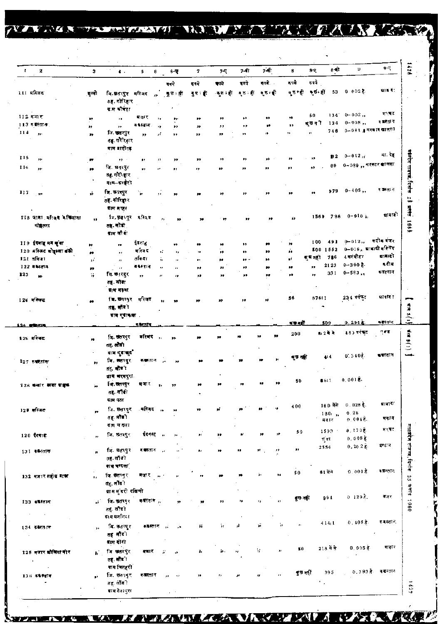NARAS TRESPOSITIONS OF SALVAN MANAGER

|       | $\pmb{2}$                | 3                    | $\bullet$ .                            | 5                    | 6                        | 6-Q                     | 7            | 7-4              | 7-वी                          | 7-सी                   | 8               | $8 - 0$            | 8 मी<br>Đ                    | $9-7$       |
|-------|--------------------------|----------------------|----------------------------------------|----------------------|--------------------------|-------------------------|--------------|------------------|-------------------------------|------------------------|-----------------|--------------------|------------------------------|-------------|
|       |                          |                      |                                        |                      |                          | दन्ये                   | इन्दे        | कावे             | दवये                          | दयवे.                  | इपये            | इवये               |                              |             |
|       | 11! मस्जिद               | ्सूलो                | जि. अतरपुर महिजद                       |                      |                          | ुकुछ⇒हीं                | र्€ा हैं     | ्कृष्ट न हो      | $\mathbf{r}\in\mathbb{R}^{n}$ | ∗ुछ न्हीं              |                 | दुष्टन्हीं कुछ हीं | $53 - 0.002$                 | या द        |
|       |                          |                      | ठह, गोरिहार                            |                      |                          |                         |              |                  |                               |                        |                 |                    |                              |             |
|       | $112$ मना $\overline{e}$ |                      | ग्राम कौचेहा                           | मजस्र                |                          |                         |              |                  |                               |                        |                 | 50                 | $134'$ 0-002,                | मरबट        |
|       | 113 年度初7年                | p                    | y,                                     | क वैस्तान .          | ٠,                       | ,,                      | ,,           | $\bullet\bullet$ | ÷                             | $\bullet\bullet$<br>33 | 39<br>,,        | कुछनौं<br>134      | $0 - 008,$                   | ৰ কাৰ্যাল   |
| 114   |                          | ,,                   | ,,<br>जि. <b>सहर</b> पुर               |                      | 13                       | ,,                      | ,,           | ,,               | ,,                            | ١ŧ                     | ,,              | 746<br>Ĥ.          | $0 - 081$ ्व मरकार खालस।     |             |
|       | $, \cdot$                | ,,                   | तह. गौरिहार<br>माम बारीगढ़             | $, \,$               | y i                      | ,,                      | 19           | ,,               | $\mathbf{y}$                  |                        |                 |                    |                              |             |
| 115   | ,,,                      |                      | $\mathbf{y} \mathbf{y} \rightarrow$    | ,,                   | $^{\ast}$                | ,,                      | ,,           | 77               | 99                            |                        | ,,              | ,,                 | $0 - 042$ ii<br>112          | ना रह       |
| 146   | $\mathbf{r}$             | $\bullet$            | जि. छत्तपुर                            | ٠.                   | .,                       | ,,                      | ,,           | 99               | ,,                            | ,,                     | $\bullet$       | 89<br>,,           | 0∽039 ,, यरकार बालसा         |             |
|       |                          |                      | 8. गोरिहार<br>याम–करहेरी               |                      |                          |                         |              |                  |                               |                        |                 |                    |                              |             |
| $117$ |                          | y)                   | जि. ऊत्तरपुर                           | ۰.,                  |                          |                         | ,,           | 29               | 33                            |                        | ,,              | 979<br>99          | $0 - 405,$                   | ष व्यवस्तान |
|       |                          |                      | तह. गोरिङ्गार<br>द्राम बरहर            |                      |                          |                         |              |                  |                               |                        |                 |                    |                              |             |
|       | 118 जाता अधिक्य केचियाना | $\bullet$            | कि. इन भ्युर                           | मस्जि                |                          |                         |              |                  |                               | ,,                     | ý,              |                    | $1569 - 786 - 0 - 016$ is    | बादावी      |
|       | मोहल्ला                  |                      | तत्तुः सोटो<br>द्राम ली वा             |                      |                          |                         |              |                  |                               |                        |                 |                    |                              |             |
|       | 119 इंदमाह मन मुंबा      | 99                   | ,,                                     | ईवनाह                |                          | 72                      | 99           | 22               | ,,                            | m                      | ,,              | 100<br>491         | $0 - 012$                    | कदीम बंजर   |
|       | 120 मस्जिद बोह्स्ला बंदी | n                    | , ,                                    | मस्जिद               | v,                       | ٠,                      | 38           | 72               | ,,                            | ,,                     | J.              | $500$ 1552         | $0 - 0.16$ , प्रादादी मस्जिद |             |
|       | 121 तकिया                | y.                   | $\pmb{\pi}$                            | तकिया                | j,                       | ,,                      | $\mathbf{P}$ | ,,               | 99.                           | $\bullet$              | gý.             | 786<br>बुष नहीं    | 4 वर्गमीटर                   | बानादी      |
|       | 122 कॉमतान               | 39                   | $\boldsymbol{\theta}$                  | क≹रतान               | ,,                       | $\pmb{r}$               | ,,           | ,,               | ,,                            | 99                     | 93              | 2123<br>,,         | $0 - 300$ है.                | द दी म      |
| 123   |                          | W                    | मि. छ∄रपुर<br>तह. लौंडा<br>बाम महबा    | $\mathbf{r}$         | $\bullet$                | 17                      | ,,           | ,,               | ,,                            | 99                     | ,,              | 331<br>$\bullet$   | $0 - 583,$                   | कबस्नान     |
|       | 124 मस्जिद               |                      | बि.छतरपुर मस्जिद                       |                      |                          |                         | s4           | 39               | ,,                            | 33                     | 56              | 67611              | 234 বৰ্ণকুত                  | मापनि ।     |
|       |                          | $\bullet$            | तह, सौंदी<br>त्राम गुराकला .           |                      |                          |                         |              |                  |                               |                        |                 |                    |                              |             |
|       | 26 <b>Britanni</b>       |                      |                                        | न केरत जि            |                          |                         |              |                  |                               |                        | म जन्मी         | 509                | $0.291$ $\alpha$             | क∎रत≀त      |
|       |                          |                      |                                        |                      |                          |                         |              |                  |                               |                        | 200             | 8-2 में मे         | 183 सांख्य                   | त्≢ड        |
|       | 126 मस्बिद               | ×,                   | बि. उत्तरपुर<br>तह, लोडी               | वरिवद                |                          |                         |              |                  |                               | 99<br>38               |                 |                    |                              |             |
|       |                          |                      | ग्राम गुडाबुद"<br>जि. उत्तरपुर         | कक्तू-तान ,⊾         |                          |                         |              |                  |                               | ,,                     | कुछ नहीं        | 414                | 0.3407                       | इन्स्तान    |
|       | $127$ with $\pi$         | 22                   | तह सौंडी<br>ग्राम बरमपुरा              |                      |                          |                         |              |                  |                               |                        |                 |                    |                              |             |
|       |                          |                      | जि.चतस्पूर                             | मजार                 |                          |                         |              |                  |                               |                        | 50              | 8611               | $0,001$ $\bar{g}$ .          |             |
|       | 128 क्यार मग             |                      | तह⊹सौंडी<br>बाम पठा                    |                      |                          |                         |              |                  |                               |                        |                 |                    |                              |             |
|       |                          |                      |                                        | मस्जिद               |                          |                         |              |                  |                               |                        | 400             | 180 मेंसे          | 0.028 $\frac{3}{5}$ .        | प्राचारी    |
|       | 129 मस्जिद               | n                    | जि. छतापुर<br>तह. लोगों                |                      | $\overline{\phantom{a}}$ |                         |              |                  |                               |                        |                 | 180 ,<br>मकान      | 0.28<br>$0.004\%$            | मनान        |
|       |                          |                      | ≰দ ব হল≀                               |                      |                          |                         |              |                  |                               |                        | 50              | 1593               | $0,170\frac{3}{5}$           | গংৰত        |
|       | 120 दिगाई                | Ħ                    | जि. छतरपुर                             | देवनस्तु             | $\sim$                   | ,,                      | P)           | ,,               | $\mathbb{R}^3$                | ,,                     |                 | गुंबर              | $0.008$ $\gtrsim$            |             |
|       |                          |                      |                                        | द¶रतान               |                          |                         |              |                  | 93                            | ,,                     | 99              | 2554               | 0.2025                       | बन्धान      |
|       | 131 कम्प्लान             | $\bullet$            | जि. छतरपुर<br>तहू. लौंबी<br>काम बन्दला |                      |                          |                         | ,            | 78               |                               |                        |                 |                    |                              |             |
|       | 132 मजारशहीय बाक्य       |                      | जि. ®तन्पूर                            | नजार                 |                          |                         |              |                  |                               | ÿ,<br>,,               | 50              | 81 में में         | $0.001$ $\bar{3}$ .          | कलम्लान     |
|       |                          | ы.                   | तह सौंदो<br>ग्राम मुंडरी दक्षिणी       |                      |                          |                         |              |                  |                               |                        |                 |                    |                              |             |
|       |                          |                      |                                        |                      |                          |                         |              |                  |                               |                        | ৰুত নহা         | 994                | $0.1292$ .                   | बजर         |
|       |                          |                      | जि. छतरपृर                             | कवस्तान <sub>ा</sub> |                          | 93                      |              | ,,               | ۰,                            | $\bullet$<br>٠,        |                 |                    |                              |             |
|       | 133 कफ़रतान              | иĵ.                  | ল্ভ, লাভা                              |                      |                          |                         |              |                  |                               |                        |                 |                    |                              |             |
|       |                          |                      | ग्राम मन्नलिया                         |                      |                          |                         |              |                  |                               |                        | $\overline{11}$ | 414,1              | $0, 405$ $\frac{3}{2}$ .     | न बस्ता न.  |
|       | 134 के केस्क्रान         | $\ddot{\phantom{1}}$ | वि. इतरपुर<br>तह लौंडी                 | क‱क्सान              |                          | 55                      | ïï.          | 'n               | ä.                            | ň                      |                 |                    |                              |             |
|       |                          |                      | द्राम दोंगो                            |                      |                          |                         |              |                  |                               | $\mathbf{r}$           | 50              | 218 में से         | $0.005$ हैं।                 | मजार        |
|       | 125 मजार कौलिया की र     | ъ.                   | जिल्लारपुर<br>तह. सौं≅ा                | मजार                 |                          | 18                      | 7,           | Ъ.               |                               | 57                     |                 |                    |                              |             |
|       | 136 क¥रतान               | y).                  | <b>याम चितहरी</b><br>जि. छत्त्मुर      | कसतान                |                          | $\overline{\mathbf{r}}$ | 9Ì           |                  |                               | п                      | ৰুত নগা         | 395                | <b>0.393 है. कब्र</b> स्तान  |             |

P

**THE STATE** 

 $\cdot$ 

**EX** 

**NZAX XX** 

Λ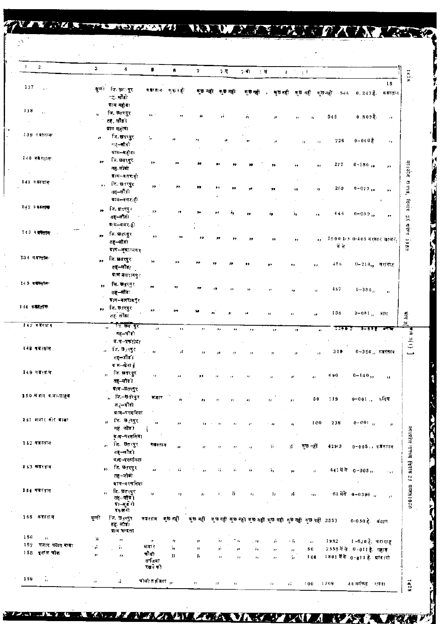| $1 -$<br>$\sqrt{2}$                           | $\mathbf{3}$   | 4                                                        | $\mathbf{g}$                          | 6                       | $\overline{\mathbf{z}}$ | $\sim$ C      | $\sim 1$               | ंस                  | $E = 1$<br>$\mathcal{F}^{\mathsf{T}}$                                   | $\mathbb{C}^{\times}$ |                              |                                                           |
|-----------------------------------------------|----------------|----------------------------------------------------------|---------------------------------------|-------------------------|-------------------------|---------------|------------------------|---------------------|-------------------------------------------------------------------------|-----------------------|------------------------------|-----------------------------------------------------------|
|                                               |                |                                                          |                                       |                         |                         |               |                        |                     |                                                                         |                       |                              | 1428<br>15                                                |
| 137<br>$\mu$ .                                |                | सुल्मी जि. <del>छ</del> त <b>्पूर</b><br>्ह सोडो         | कक्षरतान कुछनहरें                     |                         | ৰ্চ নহা                 | ৰ্চন্টা       | দূর নতা                |                     | মূচনৱী ৰূচনৱী ৰূচনৱী                                                    | 544                   |                              | 0.243 है. कबस्तान                                         |
| 138<br>$\sim$                                 | $r_{\rm f}$    | त्राम महीना<br>जि. छेतरपुर                               | $\mathbf{F}(\mathbf{r})$ .            |                         |                         |               |                        |                     |                                                                         |                       |                              |                                                           |
|                                               |                | तह, सौंडी                                                |                                       |                         |                         |               | ۰,                     | 77                  | $\mathbf{H}$<br>$\mathcal{F}$                                           | 545                   | $0.809$ $\bar{6}$ .          | 12                                                        |
| 139 পৰালোকা                                   |                | ग्राम महोवा<br>जि. <b>छ</b> तरपुर                        |                                       |                         |                         |               |                        |                     |                                                                         |                       |                              |                                                           |
|                                               | ø              | नह–सौडो<br>प्राम–महोय।                                   | $\mathcal{H} \rightarrow \mathcal{H}$ |                         |                         |               |                        | 77                  | h                                                                       | 726                   | $0 - 040$ है                 | $\boldsymbol{\tau}$ ,                                     |
| 140 को रताक                                   | ,,             | ि. छतरदुर                                                | $^{\prime\prime}$                     |                         |                         |               |                        |                     |                                                                         |                       |                              |                                                           |
|                                               |                | तह् लोंको                                                |                                       |                         |                         |               |                        |                     |                                                                         | $\bf 27\,2$<br>,,     | $0 - 186,$                   | $\rightarrow$                                             |
| $141 +$ Weath                                 |                | ब्राम∽वसराहो<br>$,$ जि. छतरपुर                           |                                       |                         |                         |               |                        |                     |                                                                         |                       |                              | मध्यप्रदेश राज्यवर्                                       |
|                                               |                | तह–लौंडो<br>ग्राम-बसर:ही                                 | 99.                                   |                         |                         |               |                        | ,,                  | ,,                                                                      | 269<br>۰,             | $0 - 073$ ,                  | ,,                                                        |
| 142 9557                                      |                | ,, जि.धत्रपुर                                            | 95.                                   |                         |                         |               |                        |                     |                                                                         |                       |                              | हिनां इ                                                   |
|                                               |                | तह-लौटी<br>ब्र∶म−बसर हो                                  |                                       |                         |                         |               |                        | ŕ,                  | ٠,                                                                      | 444<br>t á            | $0-0.8.9$ $_{\rm 5.5}$       | $\,$<br>ta<br>St                                          |
| ाउउ व <b>बस्तान</b>                           | $\mathbf{r}$   | जि. <b>स्र</b> द्गद <b>्ग</b> र                          | $\rightarrow$                         |                         |                         |               | ,,                     | $\bullet$           | وو                                                                      | ,,                    | 1904:1/3-0-405 वरकार खालक    | esser lass                                                |
|                                               |                | तह—सौंडो<br>ग्राम⊷जूञा≍नगर                               |                                       |                         |                         |               |                        |                     |                                                                         | में से                |                              |                                                           |
| 3:34 म.बस्तूबि-                               | 99             | जि. खतरपुर<br>तह–लौंड $\epsilon$                         | $\boldsymbol{\mathcal{D}}$            |                         |                         |               |                        |                     | $\bullet$                                                               | 486<br>$\bullet$      | 0-219,, चरागह                |                                                           |
| 145 क <del>ारता</del> क                       |                | माम बलरामपु∈<br>लि. ⊎तरमुर                               |                                       |                         |                         |               |                        |                     |                                                                         |                       |                              |                                                           |
|                                               | 93             | त <b>ह—सौंड</b> ∶<br>म्राम⊶वलरामपुर                      | ,,                                    |                         |                         |               |                        |                     | 23                                                                      | 487                   | $0 - 386$ $\mu$              | $\rightarrow$                                             |
| 146 कब्रस्ताक                                 |                | ,, जि.छतरपुर                                             | 23-                                   |                         |                         |               |                        |                     |                                                                         |                       |                              |                                                           |
|                                               |                | तह तांडा                                                 |                                       |                         |                         |               |                        | ×                   | л                                                                       | 158<br>ø              | 0-081, ৰায়                  | में<br>में                                                |
| $147$ anema                                   |                | <del>,, " कि इन</del> दुर"<br>तह–जॉडो                    | $\boldsymbol{H}$                      | ×,                      | $\mathbf{r}$            | ٥,<br>,,      | ,,                     | 99                  | n                                                                       | 1190<br>$\mathbf{r}$  |                              | $\tilde{a}$                                               |
|                                               |                | ग्र म∼प्रकंशेटा                                          |                                       |                         |                         |               |                        |                     |                                                                         |                       |                              | $\left[ -\left( 1\right) 1\right]$ the                    |
| 148 वजनतान                                    | $\pmb{\Omega}$ | ीत, छ <sub>उ</sub> न्हुर<br>सह-लौंडी                     | $\rightarrow$                         | jî.                     |                         |               |                        | 22                  | Ω                                                                       | 30₿                   | $0 - 3.56$ ,, कब्रस्तान      |                                                           |
|                                               |                | ग्रम−खेरा∦                                               |                                       |                         |                         |               |                        |                     |                                                                         |                       |                              |                                                           |
| 149 年前初年                                      |                | जि. छत्तरधुर<br>11<br>तह–लौंड 1                          | $\boldsymbol{\mathcal{H}}$            | $\mathbf{H}$            | ,,                      | ō             | H                      | 98                  | Ħ<br>,,                                                                 | 690                   | $0-140,$                     | $\pm 1$                                                   |
|                                               |                | माम⊸छतरपुर                                               |                                       |                         |                         |               |                        |                     |                                                                         |                       |                              |                                                           |
| 150 में बोर बाबा-प्राहेबे                     |                | , जि⊸⊌तंत्पुर<br>त $\zeta$ – गोंडो                       | मजार                                  | 34                      | 73                      | n             | $\bullet$              | $\mathcal{L}$       | π                                                                       | 119<br>50             | 0–001 , कदिम                 |                                                           |
|                                               |                | ग्राम–परसनिया                                            |                                       |                         |                         |               |                        |                     |                                                                         |                       |                              |                                                           |
| 151 मजार कोर बादा                             |                | ,, जि. 91,रपुर                                           | $\boldsymbol{\vartheta}$              | ,,                      | υ.                      | 22            | T)                     | ٠.,                 | ā.                                                                      | 100<br>238            | $0 - 001,$                   | $\boldsymbol{P}$                                          |
|                                               |                | नहं सौंड)<br>म्∴म−परसनिया                                | ì                                     |                         |                         |               |                        |                     |                                                                         |                       |                              |                                                           |
| 152 वजस्तान                                   |                | जि. छतरपुर<br>$\bullet\bullet$                           | कबस्तान                               | $\overline{\mathbf{r}}$ | n                       | ,,            | $\cdot$ + $\downarrow$ | 'n                  | ৰূত বহী<br>77                                                           | 42913                 | $0 - 0.05$ , , कब्रास्तान    |                                                           |
|                                               |                | तह—लौडी                                                  |                                       |                         |                         |               |                        |                     |                                                                         |                       |                              |                                                           |
| 153 कब्रस्तान                                 |                | ग्र)ग-परसनिवा<br>जि. <b>छतरपु</b> र<br>$\leftrightarrow$ | $\bullet$                             | Ŧ,                      |                         | ¥ÿ.<br>ň      | ñ                      |                     |                                                                         |                       | 441 में से 0-005,,           |                                                           |
|                                               |                | तह~जोडो                                                  |                                       |                         | 77                      |               |                        | 'n                  | $\bar{r}$<br>,,                                                         |                       |                              | $\rightarrow$ $\star$                                     |
| 154 कडेस्तान                                  |                | साम∼परसनिया<br>नि छतरपुर                                 |                                       |                         |                         |               |                        |                     |                                                                         |                       |                              |                                                           |
|                                               |                | $\boldsymbol{\theta}$<br>तह–लौर ।<br>ग्रा–मुड रो         | ,,                                    | 77                      |                         | 77<br>k.      | $\mathbf{r}_t$         | ă,                  | ń,<br>$2.12\%$                                                          |                       | 61 मेंसे 0-0396              | मध्यप्रदेश न्तल्पन हिनांक 25 सन्दर्श 1980<br>$\mathbf{r}$ |
| 155 कज़रू शन                                  | सूली           | दकलगे<br>जि. छ <sub>ा</sub> रपुर                         | করংশার কৃষ্ণ নহী                      |                         |                         |               |                        |                     | কূচ নहीं कृष्ठ नहीं कुछ नहीं कुछ नहीं कृष्ठ नहीं कुछ नहीं कुछ नहीं 2553 |                       |                              |                                                           |
|                                               |                | तह. लोडा<br>ग्र≀म चन्दला                                 |                                       |                         |                         |               |                        |                     |                                                                         |                       | 0-050 है. बंधान              |                                                           |
| 156<br>$\mathcal{F}$<br>157<br>मजार पठान बाबा | 罪              | $\pmb{\mathcal{W}}$                                      | $1\bullet$                            | $\pmb{\cdot}$           | $\pmb{\mathcal{V}}$     | 'n.           | ٠.,<br>. 79            | ó                   | 不容<br>$\mathbf{r}$                                                      | 1932                  | 1-620 है. चरागाह             |                                                           |
| 158 इ.शॉ.स.चीक                                | Ŵ<br>,,        | îг<br>$\boldsymbol{\mathcal{P}}$                         | मजार<br>चौकी                          | 'n.<br>Ŷ.               | 77                      | 77            | r,                     | $\pmb{\cdot}$       | 50<br>11                                                                |                       | 2555 में से 0-011 है. पहाड़  |                                                           |
|                                               |                |                                                          | ताजिया<br>रखने को                     |                         | ş,                      | $\mathbf{17}$ | ,,<br>H,               | $\boldsymbol{\eta}$ | 100<br>'n                                                               |                       | 1801 में से 0-011 है. बावादी |                                                           |
| 159<br>$\mathbf{r}_1$                         | 11             | ŵ.                                                       | चोको ताजिया ,.                        |                         | $\pmb{\mathcal{H}}$     | л<br>r)       |                        | žк                  | П<br>100                                                                | 1799                  | ४३ वर्गफुड - शहना            | 1429                                                      |

ł

17. 经通货收益

**TANK** 

 $\mathbf{Z}_{0}$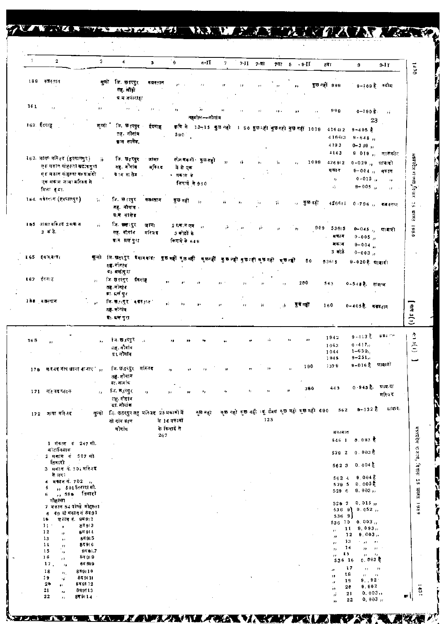|     | $\mathbf{2}$                                                      | 3                                         | 4                                                                         | $\overline{\phantom{a}}$ | $^{\circ}$ 6 |                 | $6 - II$                                                   | 7. |    | $7 - 11 - 7 - 91$ |               | 741 8 9-II   |                                               | 8व र                       | 9                                   | $9 - 11$                 |                                |
|-----|-------------------------------------------------------------------|-------------------------------------------|---------------------------------------------------------------------------|--------------------------|--------------|-----------------|------------------------------------------------------------|----|----|-------------------|---------------|--------------|-----------------------------------------------|----------------------------|-------------------------------------|--------------------------|--------------------------------|
|     |                                                                   |                                           |                                                                           |                          |              |                 |                                                            |    |    |                   |               |              |                                               |                            |                                     |                          | 06P1                           |
|     | 189 कजस्तान                                                       |                                           | मुन्नी जि.छतरपुर                                                          | कब्रस्तान                |              |                 |                                                            |    |    |                   |               | ,,           |                                               | कुछ नहीं 999               |                                     | 9-109 हे कदीम            |                                |
|     |                                                                   |                                           | तह लोडी                                                                   |                          |              |                 |                                                            |    |    |                   |               |              |                                               |                            |                                     |                          |                                |
|     |                                                                   |                                           | ये में जपारीहा                                                            |                          |              |                 |                                                            |    |    |                   |               |              |                                               |                            |                                     |                          |                                |
| 161 | $\mathcal{F}$                                                     | 97                                        | п.,                                                                       | $22 - 1$                 | ٠,           |                 |                                                            |    |    | $\lambda$         |               |              | ,,                                            | 999                        | $0 - 190$ $\frac{2}{5}$ .           | $\overline{\phantom{a}}$ |                                |
|     |                                                                   |                                           |                                                                           |                          |              |                 | तहसील—-नौगांव                                              |    |    |                   |               |              |                                               |                            |                                     | 23                       |                                |
|     | 162. ईंदगाडू                                                      | सन्नो                                     | जि. छे त्युर                                                              | र्रदगाह                  |              |                 | कृषि से 13–15 कुछ नही 1 90 कुछ नहीं कुछ नहीं हुछ नहीं 1009 |    |    |                   |               |              |                                               | 416412                     | $9 - 405$ $\frac{1}{6}$             |                          |                                |
|     |                                                                   |                                           | तह नौनांव                                                                 |                          |              | 590             |                                                            |    |    |                   |               |              |                                               | 416413                     | $9 - 648n$                          |                          |                                |
|     |                                                                   |                                           | चाम सामेर,                                                                |                          |              |                 |                                                            |    |    |                   |               |              |                                               | 4193                       | $0 - 319$ ,                         |                          |                                |
|     |                                                                   |                                           |                                                                           |                          |              |                 |                                                            |    |    |                   |               |              |                                               | 4163                       |                                     | 9 019 ,, नासकीय          |                                |
|     | 163. जामा मस्त्रिव (हरवालपुर)                                     | $\mathcal{V}^{\mathcal{E}}_{\mathcal{E}}$ | जि. छारपुर                                                                | ্জাম্য                   |              |                 | तीन <b>म</b> कनों कुछतही                                   | ,, | 4Ŷ |                   | 51            | $T_{\rm J}$  | 1099                                          | 426912                     | $0 - 0.29$ ,                        | स्रावादो                 |                                |
|     | एक मकान मोहत्ता खटाकपूरा                                          |                                           | तह नौगांव                                                                 | मस्जिद                   |              | में से एक       |                                                            |    |    |                   |               |              |                                               | मकान                       | $9 - 004$ $_{11}$                   | मकान                     |                                |
|     | ए संकान मोहल्ला गरुतामंत्री<br>एक सकाम जामा मस्जिद से             |                                           | प्राम सत्सेड .                                                            |                          |              | * मकान के       |                                                            |    |    |                   |               |              |                                               | $\mathbf{r}_{\mathcal{T}}$ | $0 - 015$ ,                         | $\boldsymbol{r}$         | मध्यपदेश संज्य <b>त,</b> रिपार |
|     | मिला हमा.                                                         |                                           |                                                                           |                          |              | किरये से 960    |                                                            |    |    |                   |               |              |                                               | 47                         | $9 - 005$ ,                         | $17^\circ$               |                                |
|     | 164. वर्षस्य न (हरपालपुर)                                         |                                           |                                                                           |                          |              |                 |                                                            |    |    |                   |               |              |                                               |                            |                                     |                          |                                |
|     |                                                                   | 5                                         | जि. 9ाःसुर<br>तह. नौगांव -                                                | कास्तान                  |              | কৃত নৱী         | $\mathcal{Y}$                                              | 55 | 77 | 57                | $\alpha$      |              | ,, কুতনহা                                     |                            | $426611 - 0.796$ $\mu$              | का स्वान                 | ţă<br>Sh                       |
|     |                                                                   |                                           | ग्राम साझेड                                                               |                          |              |                 |                                                            |    |    |                   |               |              |                                               |                            |                                     |                          | <b>Risks</b>                   |
|     | 165 जामा मस्जिद 2 मक न                                            | ń.                                        | जि. <del>छत</del> ्तरपुर                                                  | जामा                     |              | $2.5$ का न एवं, |                                                            |    |    |                   |               |              |                                               |                            |                                     |                          |                                |
|     | 3 कंडे.                                                           |                                           | सह, नौगांव                                                                | मस्जिद                   |              | 3 कोठों के      |                                                            | ÿ. |    | ý.                | 97            | $\mathbf{r}$ | 909                                           | 53615                      | $0 - 045$ ,                         | श्राबादी                 | 6861                           |
|     |                                                                   |                                           | ब्राम स्रलंकुरा                                                           |                          |              | किराये से 649   |                                                            |    |    |                   |               |              |                                               | मकान                       | $0 - 005$ ,                         |                          |                                |
|     |                                                                   |                                           |                                                                           |                          |              |                 |                                                            |    |    |                   |               |              |                                               | সকাৰ<br>3 कोटे             | $9 - 004$ ,                         |                          |                                |
|     | 165 59149730                                                      | जून्नी                                    | লি অলং पुर "মননৰাহা ছচন≰ৰি ভূত নহী ভূত নহী ভূত নহী ভূত নহী ভূত নহী ভূত ন≰ |                          |              |                 |                                                            |    |    |                   |               |              | 50                                            |                            | $0 - 003$ ,                         |                          |                                |
|     |                                                                   |                                           | লয় নানাৰ                                                                 |                          |              |                 |                                                            |    |    |                   |               |              |                                               | 53615                      | $9 - 020$ हैं: प्राबादी             |                          |                                |
|     |                                                                   |                                           | ग्रः वसंतुरा                                                              |                          |              |                 |                                                            |    |    |                   |               |              |                                               |                            |                                     |                          |                                |
|     | ॥67 ईटग1ह                                                         | $\bar{v}$                                 | जि.छत्त्पुर ईदगोह                                                         |                          |              |                 |                                                            |    |    |                   | $\rightarrow$ |              | 200                                           | 543                        | ०∼54# है. ताझभा                     |                          |                                |
|     |                                                                   |                                           | तह.नीगांग<br>∎ा. ६सं पूर                                                  |                          |              |                 |                                                            |    |    |                   |               |              |                                               |                            |                                     |                          |                                |
|     | ३७८ वजन्तान                                                       |                                           | जि छ,त्रपुर कद्य∓∄न ।                                                     |                          | y).          | ÷,              |                                                            |    |    |                   |               |              |                                               |                            |                                     |                          |                                |
|     |                                                                   |                                           | रुहा, जरेगांव                                                             |                          |              |                 |                                                            |    | ,, | 鐘                 | -á            |              | पुषनहीं                                       | 160                        | 0~405 है. मजस् <sub>वीन</sub>       |                          | $(1)$ E lula $(1)$             |
|     |                                                                   |                                           | मः धन पुरा                                                                |                          |              |                 |                                                            |    |    |                   |               |              |                                               |                            |                                     |                          |                                |
|     |                                                                   |                                           |                                                                           |                          |              |                 |                                                            |    |    |                   |               |              |                                               |                            |                                     |                          |                                |
|     |                                                                   |                                           | †ज.ख्रु,रेपुर ∴                                                           |                          |              |                 |                                                            |    |    |                   |               | ٠,           | $\mathbf{I}$ :                                | 1942                       | $9 - 413$ है.                       | 青菜子の日                    |                                |
| T68 | $\bullet$                                                         | $\mathbf{r}$                              | गह, नौगांव                                                                |                          | 19           |                 |                                                            |    |    |                   |               |              |                                               | 1043                       | 0.417 <sub>0</sub>                  |                          | $\binom{1}{2}$                 |
|     |                                                                   |                                           | द्र1. नोगाव                                                               |                          |              |                 |                                                            |    |    |                   |               |              |                                               | 1044                       | $1 - 639,$                          |                          |                                |
|     |                                                                   |                                           |                                                                           |                          |              |                 |                                                            |    |    |                   |               |              |                                               | 1945                       | $9 - 251,$<br>9-016 है प्रावादों    |                          |                                |
| 176 | महत्त्व नोष खाना बाजार ' ,,                                       |                                           | जि.छतरपुर मस्जिद                                                          |                          |              |                 |                                                            | 72 | 77 | 77                |               |              | 190                                           | 1379                       |                                     |                          |                                |
|     |                                                                   |                                           | तह. नागान                                                                 |                          |              |                 |                                                            |    |    |                   |               |              |                                               |                            |                                     |                          |                                |
|     |                                                                   |                                           | गा, नागांव<br>ि छत्रपुर                                                   |                          |              |                 |                                                            |    |    | 2x                |               | $\mathbf{r}$ | 360                                           | 445                        | $0 - 945$ $\bar{6}$ .               | साव दा                   |                                |
|     | 171 मस्जिद पहरू                                                   | $\mathbf{r}$                              | तह. नौगांव                                                                | $^{\prime\prime}$        |              |                 | 77                                                         | 47 | 17 |                   |               |              |                                               |                            |                                     | मस्जिद                   |                                |
|     |                                                                   |                                           | ्या. नोमांक                                                               |                          |              |                 |                                                            |    |    |                   |               |              |                                               |                            |                                     |                          |                                |
|     | 172 जामा मस्तिद                                                   |                                           | सुन्नो जि. छतरपुरतह मन्त्रिद 25 मकामों में                                |                          |              |                 | कुछ नहा                                                    |    |    |                   |               |              | कुछ नहो कुछ नही ।यू. टैमस कुछ नही मुछ नही 690 | 562                        | $6 - 132$ $\frac{1}{6}$             | स्रामारः                 |                                |
|     |                                                                   |                                           | नो गांव ग्राम                                                             |                          | से 16 मकानों |                 |                                                            |    |    | 125               |               |              |                                               |                            |                                     |                          |                                |
|     |                                                                   |                                           | नोगांव                                                                    |                          | के किरादे से |                 |                                                            |    |    |                   |               |              |                                               | मकानात                     |                                     |                          |                                |
|     | 1 मेकान नं 247 मी.                                                |                                           |                                                                           |                          | 267          |                 |                                                            |    |    |                   |               |              |                                               |                            | $546$ 1 0.093 0                     |                          |                                |
|     | सातानिवास                                                         |                                           |                                                                           |                          |              |                 |                                                            |    |    |                   |               |              |                                               |                            |                                     |                          |                                |
|     | 2 मकाम नं 507 मो                                                  |                                           |                                                                           |                          |              |                 |                                                            |    |    |                   |               |              |                                               |                            | 52920.003                           |                          |                                |
|     | तिवारी<br>3 सकान ने 70 संस्थिद                                    |                                           |                                                                           |                          |              |                 |                                                            |    |    |                   |               |              |                                               | 562 3                      | ০. ৫০4 ই                            |                          |                                |
|     |                                                                   |                                           |                                                                           |                          |              |                 |                                                            |    |    |                   |               |              |                                               |                            |                                     |                          |                                |
|     | से लगा                                                            |                                           |                                                                           |                          |              |                 |                                                            |    |    |                   |               |              |                                               | 562 4<br>529 5             | $9,004$ $\bar{5}$<br>0,005 ট        |                          |                                |
|     | 4 मकान नं. 702 /                                                  |                                           |                                                                           |                          |              |                 |                                                            |    |    |                   |               |              |                                               | 529 6                      | 9.003,                              |                          |                                |
|     | ,, 501 तिबारां मौ.<br>5                                           |                                           |                                                                           |                          |              |                 |                                                            |    |    |                   |               |              |                                               |                            |                                     |                          |                                |
|     | ,, 598 तिवारो<br>6.<br>मोहल्ला                                    |                                           |                                                                           |                          |              |                 |                                                            |    |    |                   |               |              |                                               |                            |                                     |                          |                                |
|     | 7 मकान 54 योग्डे मोहरुला                                          |                                           |                                                                           |                          |              |                 |                                                            |    |    |                   |               |              |                                               | 526 7                      | 0.015,<br>$5369$ 0.052,             |                          |                                |
|     | 6 व9 दो मकान न 8व91                                               |                                           |                                                                           |                          |              |                 |                                                            |    |    |                   |               |              |                                               | 5369                       |                                     |                          |                                |
|     | म गान नं. 9व9। 2<br>16<br>11 :<br>24813<br>$\bullet$              |                                           |                                                                           |                          |              |                 |                                                            |    |    |                   |               |              |                                               | 536 10                     | 0.003,                              |                          |                                |
|     | 12<br><b>g</b> व914<br>Ĥ.                                         |                                           |                                                                           |                          |              |                 |                                                            |    |    |                   |               |              |                                               | $\ddot{\phantom{0}}$       | 11<br>9.093,<br>9.003<br>12         |                          |                                |
|     | 84915<br>13<br>j)                                                 |                                           |                                                                           |                          |              |                 |                                                            |    |    |                   |               |              |                                               | $\overline{\mathbf{r}}$    | 13<br>$n = n$                       |                          |                                |
|     | 84916<br>14<br>$\mathbf{r}$<br>15<br>9461.7<br>$\mathbf{r}$       |                                           |                                                                           |                          |              |                 |                                                            |    |    |                   |               |              |                                               | $^{\prime}$                | 14<br>$\mathbf{r}$                  | $-17 - 1$                |                                |
|     | 16<br>8व 9। 9<br>$\mathbf{r}$                                     |                                           |                                                                           |                          |              |                 |                                                            |    |    |                   |               |              |                                               | 17                         | 15<br>n.                            | - 79                     |                                |
|     | 17.<br>6वं 919<br>$\mathbf{r}_{\mathbf{r}}$                       |                                           |                                                                           |                          |              |                 |                                                            |    |    |                   |               |              |                                               | 536 16                     | 0.003<br>17                         | $\rightarrow$            |                                |
|     | 819110<br>18<br>$\mathbf{r}_\mathrm{R}$                           |                                           |                                                                           |                          |              |                 |                                                            |    |    |                   |               |              |                                               | 33<br>,,                   | $\mathcal{L}$<br>18<br>$\mathbf{r}$ | $\rightarrow$            |                                |
|     | 19<br>849111<br>$\mathcal{W}$<br>26<br>849112<br>$\bullet\bullet$ |                                           |                                                                           |                          |              |                 |                                                            |    |    |                   |               |              |                                               | $\mathbf{z}$<br>'n         | 9.92<br>19<br>9,902<br>20           |                          |                                |

TUTE MA TA PROMENTI MARILEMAN MENTELI VI A LA REGISTRA

公牧

Ķ

đ

ī

**TENNISONE** 

**REVIEW SERVICE**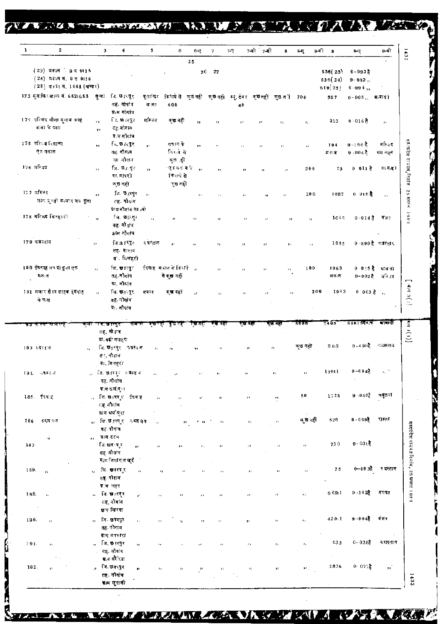TAKE ATMOSPHE **IN A PAUL STATE AND A NEW TAX UFF 7** 

| $\mathbf{1}$ | 2                                                                                         |                          | 3<br>4                                                                        | 5                | G                                               | 6-ए                         | 7                         | $7 - 7$                                                | 7-वी 7-सी      | 8                   | 9-वी<br>8-ए                | - 9                            | 9-ए                                | 9 वो                                |
|--------------|-------------------------------------------------------------------------------------------|--------------------------|-------------------------------------------------------------------------------|------------------|-------------------------------------------------|-----------------------------|---------------------------|--------------------------------------------------------|----------------|---------------------|----------------------------|--------------------------------|------------------------------------|-------------------------------------|
|              | $(23)$ मकान 9 a 9115<br>(24) मन्दान नं, 9 वृ 9। 16<br>$(25)$ स $\star$ ा नं, 1061 (खण्डर) |                          |                                                                               |                  |                                                 | $2.5\,$                     | $76 - 27$                 |                                                        |                |                     |                            | 536 (23)<br>536(24)<br>619(25) | $0 - 093$<br>$9 - 003$ ,<br>0.994, |                                     |
|              | 173 सुसाफिर खानर में. 652।653 सुम्बा                                                      |                          | जि. छत्तपुर<br>तह. नोगांव<br>ग्राम नोगांव                                     | गुताकिर<br>ख लि1 | 600                                             |                             |                           | किरायेसे कुछनहीं कुछनहो स्थु.टेक्न कुछनहीं कुछनी<br>40 |                |                     | 700                        | 597                            | $0 - 0.05$ ,, ম.ৰাহা               |                                     |
|              | 174 मण्डिद गौला गुलाव भाह<br>बखा के पाय                                                   | τy.<br>,,                | ि. छ त्युर<br>दह-मौगांव<br>य स नौनांब                                         | मस्जिद           | कुछ नहीं                                        | $\overline{\phantom{a}}$    | 73                        | 17                                                     |                | 17                  | $\pmb{r}_I$                | 213                            | $0 - 016.8$                        | χý,                                 |
|              | 175 मस्ति दक्षिणा<br>एक गकान                                                              | $\bullet\circ$           | ि. छ त्युर<br>तह नौगव                                                         | $\bullet$        | गकान के<br>निरले मे                             | 5.5                         |                           | ı,                                                     | $\epsilon$     | 77                  | Ħ                          | 194<br>मकान                    | $9 - 166$ है<br>9.0047             | मस्जिद<br>मय नहन                    |
|              | 176 गरिज्य                                                                                | $\mathbf{r}_1$           | या नौतान<br>जि. <b>छ</b> ानुर<br>गा. मण री<br>कुछ नहीं                        | ż,               | कुछ हो<br>'एहमनामी" ,,<br>किराये से<br>पुछ नहीं |                             | $\rightarrow$             | л                                                      | 理              | $\epsilon$          | 200                        | 19                             | 0 0 1 1 है                         | या बाद)                             |
|              | 177 महिलंद<br>लेक्ष्य सुरतो बन्जार मय कुंवा                                               | $\bullet$                | ि छ,त्यूर<br>त् <b>ह नौ</b> गव                                                | $\mathbf{y}_1$   |                                                 | $\mathbf{r}$ ,              | $\mathbf{J}$ $\mathbf{J}$ | $\mathcal{F}^{\prime}$                                 | 78             | r r                 | 200                        | 1697                           | 0 016麦                             | $\mathbf{r}$ ).                     |
|              | 178 मरिंजद बिनहारो                                                                        | $\Omega$                 | ग्राम नौग'ब छा ,नो<br>िका छत्तरपुर<br>तह नौनाव<br>⊥ाम नागाव                   | $\alpha$         | $\bullet$                                       | 11                          | и                         | $^{\prime}$                                            | $\overline{1}$ | $\boldsymbol{\mu}$  | $\mathcal{F}(\mathcal{F})$ | 1646                           | 0-014 है वंजर                      |                                     |
|              | 179 कप्रस्तान                                                                             | 94                       | ৰি ছাৎস্থ<br>तह्र- नेत्पाव<br>ग्र विलहरी                                      | ৭ সম্বান         |                                                 |                             | 76                        | $\mathbf{J}$                                           | ø              | $\mathbf{J}$ r      | a j                        | 1952                           |                                    | 0-890 है कबस्तार                    |
|              | 190 ईदगाह थप दो कुल एक<br>मक: न                                                           | 'n.                      | লি. ভাংমুৰ<br>तह नौगांव<br>ग्रा, नौमांव                                       |                  | ईदगाह मध्यत के किराये।<br>से कुछ नहीं           | $\boldsymbol{\mu}$          | $^{\prime}$               | $\mathbf{J}$ J                                         | $\bar{z}$      | $\boldsymbol{\eta}$ | 100                        | 1963<br>मकान                   |                                    | 0925 है भावतो<br>0~002 है. मस्त्रित |
|              | 181 मजार सै ।द साहब ईदगाह<br>के पत्न                                                      | $\boldsymbol{\eta}$      | লি তলবুং<br>तह नोगांव<br>याः नौगांव                                           | मजार             | कुद्ध नहीं                                      | $\mathbf{r}$                | $\mathbf{J}$ is           | $\mathbf{r}$                                           | ø              | 17                  | 200                        | 1963                           | $0.003\frac{3}{5}$                 |                                     |
|              |                                                                                           | मन्ना                    | ग्या छ।रपुरा<br>नारमा                                                         |                  | ক্তবর্ষ যুভ বর্                                 |                             | न्छ नहा                   | रेखे नहा                                               |                | इस नहीं             | 5000                       | 74 65                          | <u>साहर अन्</u> वास्               | मत्वरदे                             |
|              | 193 अवस्तुत                                                                               |                          | त <b>ह. नो</b> यांव<br>ग्रा. गढी मलहरा<br>लि, छत्तरपुर - नवस्तन<br>त गंगीबांच | $\mathbf{r}_1$   | $^{\prime}$                                     | ,,                          | $\boldsymbol{r}$ :        | ,,                                                     |                | $\boldsymbol{r}$ ,  | कुछ नहों                   | 2412                           | $0 - 4956$ $-74837$                |                                     |
|              | 191. ज¶€⊺त                                                                                |                          | ग्रा. बिलहरो<br>কি. তাৰেয়ুন গ্ৰহল ন<br>नह, नोगांव                            |                  |                                                 |                             |                           |                                                        |                |                     | $\mathbf{r}$               | 17911                          | $0 - 68$ $\tau_6^2$                |                                     |
|              | 185. ईश्वाह                                                                               |                          | ग्राम ग्रलोपुन<br>, जि.छ.(रपुर ईदमह<br>सह, नौगांव                             |                  | $\bar{a}$                                       |                             |                           | $\boldsymbol{r}$ 1                                     |                | 45                  | 50                         | 1725                           | $9 - 040c3$                        | चबूतरा                              |
| 186          | रुधार ग न                                                                                 |                          | क्षा <b>म अलोगूरा</b><br>∍, जि.छारमुर न∙वस्शन ∴<br>नह बोगांव                  |                  |                                                 | <b>C</b> 13<br>$\mathbf{H}$ | $\mathbf{u}$              | $\mathbf{r}_F$                                         |                | $\boldsymbol{\eta}$ | क् <b>छ</b> नहीं           | 526                            | $0 - 0.09$                         | रास्ता                              |
| 187.         | ń.                                                                                        | $\overline{\phantom{a}}$ | म्राग टटम<br>ाजि. <b>छत</b> ्पुर<br>$\bullet$<br>तह नौगांव                    |                  | ,,<br>,,                                        | $\mathbf{z}$                | ŦJ.                       | $^{\prime}$                                            |                |                     | $\bar{\bf 1}$ i            | 730                            | $9 - 036$                          |                                     |
| 169.         | $\mathbf{r}$                                                                              |                          | म,म सिगाराम खुदै<br>्, जि. छतरपुर<br>p.<br>तह, नौगाव                          |                  | ٠,                                              |                             |                           | $\pmb{\scriptstyle j}$ ,                               |                | $\bullet$           | $\pmb{\scriptstyle j}$ ,   | 75                             | $0 - 0.935$                        | न वस्तान                            |
| 189.         | $\mathbf{r}_1$                                                                            |                          | ग्राम लहर<br>∍⊦ जि.स्≢ारपुर<br>yr.<br>तह, नौगांव                              |                  | $\pmb{\scriptstyle{\pm 1}}$<br>$\bar{r}$        | 36                          | 17                        | ç,                                                     |                | 77                  | ŧ,                         | 6691                           | $0 - 1625$                         | मरघट                                |
| 190.         | $\mathcal{G}$                                                                             | $\mathbf{r}$             | प्राम बिरका<br>লি- তুৰাষ্মুৰ<br>ĥ,<br>तह, नौगांव                              |                  | $\mathbf{r}$<br>$\mathbf{I}_{\mathbf{J}}$       | ٠,                          |                           | ğ.                                                     |                | $\mathcal{P}$       | $\pmb{\cdot}$              | 42011                          | $9 - 0.043$                        | ৰলহ                                 |
| 191.         | $\mathbf{r}_{\mathrm{f}}$                                                                 |                          | ब्राम भन्न हरा<br>লি. তাংবুৰ<br>11<br>तह. नौगांव<br><b>प्र</b> ,म दौरिया      |                  |                                                 |                             | ÷,                        | $\mathbf{r}_\mathrm{F}$                                |                | $\mathbf{r}_\ell$   | $\mathbf{r}_\mathrm{d}$    | 433<br>$\epsilon$              | $0 - 0385$                         | न यस्तान                            |
|              |                                                                                           |                          |                                                                               |                  |                                                 |                             |                           |                                                        |                |                     |                            |                                |                                    |                                     |

AT EA VALUE ALLENDE CAN A VARIETY EN LA REALISE

 $72.1$ 

**THE STATE OF** 

BR N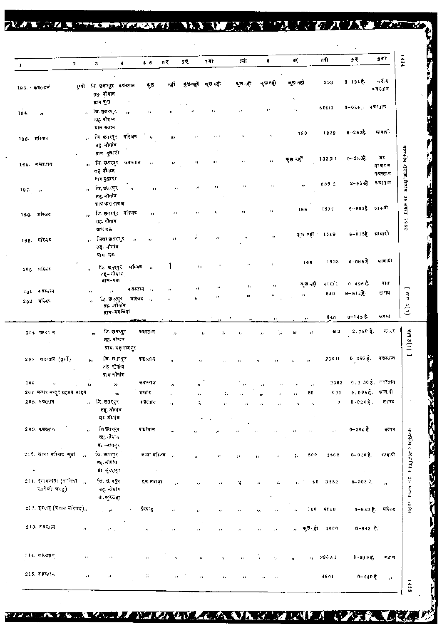| $\mathbf{1}$<br>न दो म<br>6 121克<br>553<br>कुछ नहीं<br>न छ नहीं<br>ৰ ত হা<br>যুভনটা ষ্তানৱী<br>नदी<br>मुछ<br>रुनी जि.छसरपुर क्षयस्तान<br>193. कबस्तान<br>कवस्तान<br>तह. नोगांव<br>ग्राम गुना<br>6−024,, कब्रस्⊓न<br>60811<br>$^{\prime}$<br>$\boldsymbol{\mathcal{P}}$<br>$\cdots$<br>ु जि.स्त्रुतस्पुर<br>97<br>٠,<br>$\mathbf{z}$<br>$\pmb{\scriptstyle{1}}$ ,<br>194.<br>$\bullet$<br>तह. नौगाय<br>ग्राम गलाम<br>ग्रावादी<br>$6 - 262$<br>1828<br>150<br>$\overline{\mathbf{z}}$<br>जि.इता्सुर महिजद<br>$\mathbf{z}$<br>$2.2 - 1$<br>$\mathbf{r}_I$<br>195. महिजद<br>,,<br>$\mathbf{r}$<br>तह नौगांव<br>प्राम दुखारो<br>ंज र<br>$0 - 2833$<br>133211<br>ক্ত হা<br>$\mathbf{r}$<br>72<br>जि. इतरपुर कबरतान<br>$\bullet$<br>$\mathbf{r}$<br>-17<br>196. कश्चरतान<br>$\mathbf{H}$<br>म घटन<br>तह. नोगाव<br>कवस्तान<br>9ाम दुखारी<br>2-954है. वज़स्तान<br>68912<br>$\rightarrow$<br>$\boldsymbol{r}$<br>"<br>बि, छत्तरपुर<br>12<br>71<br>$\mathbf{z}$<br>,,<br>$\bullet$<br>$197 - n$<br>$\mathbf{r}$<br>तह. नौगांव<br>ब्राप करा रागज<br>0-965है धावादो<br>1577<br>166<br>11<br>,, जि. इतरपुर मस्जिद<br>$\bullet$<br>$\bullet$<br>196 मरिजय<br>2.1<br>$\ddot{\phantom{a}}$<br>तह, नौगांव<br>पाम मऊ<br>6-015है. द्रावादी<br>ল্ <b>ভ ন</b> রী 1549<br>21<br>$^{\prime}$<br>লিলা শুরণে ব<br>$\mathbf{r}$<br>199. महिनद<br>دد<br>$\boldsymbol{\Omega}$<br>33<br>$\mathbf{r}$<br>तह. नौगांव<br>ग्राम मऊ<br>$0 - 0.05$ है।<br>पावादी<br>1538<br>106<br>$\pm 1$<br>$^{\prime}$<br>Ħ<br>जि. छतुरपुर मस्जिद<br>٠,<br>$206$ मस्जिद<br>$\boldsymbol{\mathcal{H}}$<br>तह—नौगाय,<br>प्राम–मक्र<br>बास<br>418/1<br>0.496 <sup>3</sup><br>क्छ⊣हो<br>$\mathcal{V}$<br>$\bullet$<br>п<br>कदस्तान ,,<br>$\mathbf{r}$<br>$\mathbf{r}$<br>$201 - 4$ बस्तान<br>$\bar{ }$<br>$\mathbf{r}$<br>$0 - 612$ 念<br>खराब<br>840<br>H.<br>п<br>$\pmb{\scriptstyle{13}}$<br>,,<br>मास्जिद<br><sub>লি-</sub> ভ <sub>া</sub> ংদুং<br>н<br>$\mathbf{z}$<br>$202 - \pi$ रिंग दे<br>$\overline{\mathbf{r}}$<br>तह –नौनांब<br>ब्राम∽इमलिया<br>$0 - 145.8$<br>खराब<br>840<br>$\bullet$ .<br>$\bullet\,\bullet$<br>an Britan Ton<br>$2.780$ $\bar{8}$ .<br>बन्जर<br>जि. खतरपुर<br>≢बस्त‡न<br>613<br>ÿ,<br>204 कफ़र न<br>W<br>蒜<br>,,<br>٤à<br>,,<br>तह. नौगाँव<br>प्राम. महाराजपुर<br>0.3558.<br>क्यस्तान<br>जि. छ∄पपुर<br>23611<br>$205$ - कथरतान (सुरुकि)<br>कबल्ता न<br>,,<br>$\bar{z}$<br>तह. नौगांव<br>काम नौगांव<br>0.3 56 है, कबस्तान<br>2362<br>कवस्तान<br>206<br>,,<br>$\mathbf{z}$<br>99<br>$\boldsymbol{H}$<br>n<br>$\bar{r}$<br>$\mathbf{z}$<br>$\mu$<br>$\cdot$<br>$0.094\bar{5}$ .<br>ञानःदो<br>207 मजार मन्जूर सहनद साहब<br>673<br>मजार<br>50<br>,,<br>÷.<br>$\bar{r}$<br>,,<br>,,<br>$0 - 0.24$ 意。<br>লি. তলত্ত্ব<br>मर्बट<br>$203.$ ३.व्ह $617$<br>$\mathcal{L}$<br>∎बस्तान<br>$\mathbf{u}$<br>э,<br>$\mathbf{r}_1$<br>$\mathcal{O}$<br>73<br>٠,<br>л<br>क्षड्. नौगांव<br>मा नोगंग<br>िंब छ∄रपुर<br>209. मध्यस्त' ।<br>0-20 <sub>6</sub> है<br><b>म स</b> स्ताम<br>क्स्कर<br>$\mathbf{G}$<br>$\mathbf{r}$<br>$\mathbf{r}$ (<br>÷,<br>$\pmb{\cdot}$<br>73<br>n<br>r z<br>तहू. नौर्दाद<br>ब्र⊼⊸दायपुर<br>210 जाना गरिजद कुलां<br>जि. छतरपुर<br>ानदी<br>0-020意<br>ज मा मस्जिद<br>500<br>3562<br>$\mathbf{a}$<br>ï,<br>$\rightarrow$<br>$\bullet$<br>$\boldsymbol{\mu}$<br>तह नौगांव<br>$\bullet$<br>ग्रा. कुरशाहा<br>$\sim$<br>$\cdot$<br>211. इमामबाड़ा (लविंदा ,,<br>जि. छ $\sqrt{q_{\rm x}}$<br>$0 - 008$ $\lambda$<br>इ.स. मब। इा<br>50<br>3562<br>ä<br>ó.<br>$\boldsymbol{\theta}$<br>s,<br>n<br>$^{\prime}$<br>रजनै की जगह)<br>तह. नोमां क<br>ग∴ कुरर हा<br>21 2. इदशह (बताम मस्जिद),,<br>0−650 है.<br>ईदग ह<br>4660<br>मस्जिद<br>100 <sub>1</sub><br>$\mathbf{r}$<br>$\pm 1$<br>$\boldsymbol{r}$<br>ω.<br>$\boldsymbol{\mathcal{W}}$<br>213. वजन्तान<br>$6 - 943$ है.<br>कुछ <sub>।</sub> हो<br>4000<br>$\boldsymbol{\imath}$<br>$\mathcal{F}^{\mathcal{F}}$ .<br>тř<br>$\mathbf{H}$<br>٠,<br>$\mathbf{r}$<br>73<br>$\mathbf{r}$<br>ż, | $\mathbf{2}$ | $\blacktriangleleft$<br>.З | $5-6$ | 6 Q | 75 | 7वी | 7पो | 6 | вŲ | 8वी | 95 | 94) |
|--------------------------------------------------------------------------------------------------------------------------------------------------------------------------------------------------------------------------------------------------------------------------------------------------------------------------------------------------------------------------------------------------------------------------------------------------------------------------------------------------------------------------------------------------------------------------------------------------------------------------------------------------------------------------------------------------------------------------------------------------------------------------------------------------------------------------------------------------------------------------------------------------------------------------------------------------------------------------------------------------------------------------------------------------------------------------------------------------------------------------------------------------------------------------------------------------------------------------------------------------------------------------------------------------------------------------------------------------------------------------------------------------------------------------------------------------------------------------------------------------------------------------------------------------------------------------------------------------------------------------------------------------------------------------------------------------------------------------------------------------------------------------------------------------------------------------------------------------------------------------------------------------------------------------------------------------------------------------------------------------------------------------------------------------------------------------------------------------------------------------------------------------------------------------------------------------------------------------------------------------------------------------------------------------------------------------------------------------------------------------------------------------------------------------------------------------------------------------------------------------------------------------------------------------------------------------------------------------------------------------------------------------------------------------------------------------------------------------------------------------------------------------------------------------------------------------------------------------------------------------------------------------------------------------------------------------------------------------------------------------------------------------------------------------------------------------------------------------------------------------------------------------------------------------------------------------------------------------------------------------------------------------------------------------------------------------------------------------------------------------------------------------------------------------------------------------------------------------------------------------------------------------------------------------------------------------------------------------------------------------------------------------------------------------------------------------------------------------------------------------------------------------------------------------------------------------------------------------------------------------------------------------------------------|--------------|----------------------------|-------|-----|----|-----|-----|---|----|-----|----|-----|
|                                                                                                                                                                                                                                                                                                                                                                                                                                                                                                                                                                                                                                                                                                                                                                                                                                                                                                                                                                                                                                                                                                                                                                                                                                                                                                                                                                                                                                                                                                                                                                                                                                                                                                                                                                                                                                                                                                                                                                                                                                                                                                                                                                                                                                                                                                                                                                                                                                                                                                                                                                                                                                                                                                                                                                                                                                                                                                                                                                                                                                                                                                                                                                                                                                                                                                                                                                                                                                                                                                                                                                                                                                                                                                                                                                                                                                                                                                                    |              |                            |       |     |    |     |     |   |    |     |    |     |
|                                                                                                                                                                                                                                                                                                                                                                                                                                                                                                                                                                                                                                                                                                                                                                                                                                                                                                                                                                                                                                                                                                                                                                                                                                                                                                                                                                                                                                                                                                                                                                                                                                                                                                                                                                                                                                                                                                                                                                                                                                                                                                                                                                                                                                                                                                                                                                                                                                                                                                                                                                                                                                                                                                                                                                                                                                                                                                                                                                                                                                                                                                                                                                                                                                                                                                                                                                                                                                                                                                                                                                                                                                                                                                                                                                                                                                                                                                                    |              |                            |       |     |    |     |     |   |    |     |    |     |
|                                                                                                                                                                                                                                                                                                                                                                                                                                                                                                                                                                                                                                                                                                                                                                                                                                                                                                                                                                                                                                                                                                                                                                                                                                                                                                                                                                                                                                                                                                                                                                                                                                                                                                                                                                                                                                                                                                                                                                                                                                                                                                                                                                                                                                                                                                                                                                                                                                                                                                                                                                                                                                                                                                                                                                                                                                                                                                                                                                                                                                                                                                                                                                                                                                                                                                                                                                                                                                                                                                                                                                                                                                                                                                                                                                                                                                                                                                                    |              |                            |       |     |    |     |     |   |    |     |    |     |
|                                                                                                                                                                                                                                                                                                                                                                                                                                                                                                                                                                                                                                                                                                                                                                                                                                                                                                                                                                                                                                                                                                                                                                                                                                                                                                                                                                                                                                                                                                                                                                                                                                                                                                                                                                                                                                                                                                                                                                                                                                                                                                                                                                                                                                                                                                                                                                                                                                                                                                                                                                                                                                                                                                                                                                                                                                                                                                                                                                                                                                                                                                                                                                                                                                                                                                                                                                                                                                                                                                                                                                                                                                                                                                                                                                                                                                                                                                                    |              |                            |       |     |    |     |     |   |    |     |    |     |
|                                                                                                                                                                                                                                                                                                                                                                                                                                                                                                                                                                                                                                                                                                                                                                                                                                                                                                                                                                                                                                                                                                                                                                                                                                                                                                                                                                                                                                                                                                                                                                                                                                                                                                                                                                                                                                                                                                                                                                                                                                                                                                                                                                                                                                                                                                                                                                                                                                                                                                                                                                                                                                                                                                                                                                                                                                                                                                                                                                                                                                                                                                                                                                                                                                                                                                                                                                                                                                                                                                                                                                                                                                                                                                                                                                                                                                                                                                                    |              |                            |       |     |    |     |     |   |    |     |    |     |
|                                                                                                                                                                                                                                                                                                                                                                                                                                                                                                                                                                                                                                                                                                                                                                                                                                                                                                                                                                                                                                                                                                                                                                                                                                                                                                                                                                                                                                                                                                                                                                                                                                                                                                                                                                                                                                                                                                                                                                                                                                                                                                                                                                                                                                                                                                                                                                                                                                                                                                                                                                                                                                                                                                                                                                                                                                                                                                                                                                                                                                                                                                                                                                                                                                                                                                                                                                                                                                                                                                                                                                                                                                                                                                                                                                                                                                                                                                                    |              |                            |       |     |    |     |     |   |    |     |    |     |
|                                                                                                                                                                                                                                                                                                                                                                                                                                                                                                                                                                                                                                                                                                                                                                                                                                                                                                                                                                                                                                                                                                                                                                                                                                                                                                                                                                                                                                                                                                                                                                                                                                                                                                                                                                                                                                                                                                                                                                                                                                                                                                                                                                                                                                                                                                                                                                                                                                                                                                                                                                                                                                                                                                                                                                                                                                                                                                                                                                                                                                                                                                                                                                                                                                                                                                                                                                                                                                                                                                                                                                                                                                                                                                                                                                                                                                                                                                                    |              |                            |       |     |    |     |     |   |    |     |    |     |
|                                                                                                                                                                                                                                                                                                                                                                                                                                                                                                                                                                                                                                                                                                                                                                                                                                                                                                                                                                                                                                                                                                                                                                                                                                                                                                                                                                                                                                                                                                                                                                                                                                                                                                                                                                                                                                                                                                                                                                                                                                                                                                                                                                                                                                                                                                                                                                                                                                                                                                                                                                                                                                                                                                                                                                                                                                                                                                                                                                                                                                                                                                                                                                                                                                                                                                                                                                                                                                                                                                                                                                                                                                                                                                                                                                                                                                                                                                                    |              |                            |       |     |    |     |     |   |    |     |    |     |
|                                                                                                                                                                                                                                                                                                                                                                                                                                                                                                                                                                                                                                                                                                                                                                                                                                                                                                                                                                                                                                                                                                                                                                                                                                                                                                                                                                                                                                                                                                                                                                                                                                                                                                                                                                                                                                                                                                                                                                                                                                                                                                                                                                                                                                                                                                                                                                                                                                                                                                                                                                                                                                                                                                                                                                                                                                                                                                                                                                                                                                                                                                                                                                                                                                                                                                                                                                                                                                                                                                                                                                                                                                                                                                                                                                                                                                                                                                                    |              |                            |       |     |    |     |     |   |    |     |    |     |
|                                                                                                                                                                                                                                                                                                                                                                                                                                                                                                                                                                                                                                                                                                                                                                                                                                                                                                                                                                                                                                                                                                                                                                                                                                                                                                                                                                                                                                                                                                                                                                                                                                                                                                                                                                                                                                                                                                                                                                                                                                                                                                                                                                                                                                                                                                                                                                                                                                                                                                                                                                                                                                                                                                                                                                                                                                                                                                                                                                                                                                                                                                                                                                                                                                                                                                                                                                                                                                                                                                                                                                                                                                                                                                                                                                                                                                                                                                                    |              |                            |       |     |    |     |     |   |    |     |    |     |
|                                                                                                                                                                                                                                                                                                                                                                                                                                                                                                                                                                                                                                                                                                                                                                                                                                                                                                                                                                                                                                                                                                                                                                                                                                                                                                                                                                                                                                                                                                                                                                                                                                                                                                                                                                                                                                                                                                                                                                                                                                                                                                                                                                                                                                                                                                                                                                                                                                                                                                                                                                                                                                                                                                                                                                                                                                                                                                                                                                                                                                                                                                                                                                                                                                                                                                                                                                                                                                                                                                                                                                                                                                                                                                                                                                                                                                                                                                                    |              |                            |       |     |    |     |     |   |    |     |    |     |
|                                                                                                                                                                                                                                                                                                                                                                                                                                                                                                                                                                                                                                                                                                                                                                                                                                                                                                                                                                                                                                                                                                                                                                                                                                                                                                                                                                                                                                                                                                                                                                                                                                                                                                                                                                                                                                                                                                                                                                                                                                                                                                                                                                                                                                                                                                                                                                                                                                                                                                                                                                                                                                                                                                                                                                                                                                                                                                                                                                                                                                                                                                                                                                                                                                                                                                                                                                                                                                                                                                                                                                                                                                                                                                                                                                                                                                                                                                                    |              |                            |       |     |    |     |     |   |    |     |    |     |
|                                                                                                                                                                                                                                                                                                                                                                                                                                                                                                                                                                                                                                                                                                                                                                                                                                                                                                                                                                                                                                                                                                                                                                                                                                                                                                                                                                                                                                                                                                                                                                                                                                                                                                                                                                                                                                                                                                                                                                                                                                                                                                                                                                                                                                                                                                                                                                                                                                                                                                                                                                                                                                                                                                                                                                                                                                                                                                                                                                                                                                                                                                                                                                                                                                                                                                                                                                                                                                                                                                                                                                                                                                                                                                                                                                                                                                                                                                                    |              |                            |       |     |    |     |     |   |    |     |    |     |
|                                                                                                                                                                                                                                                                                                                                                                                                                                                                                                                                                                                                                                                                                                                                                                                                                                                                                                                                                                                                                                                                                                                                                                                                                                                                                                                                                                                                                                                                                                                                                                                                                                                                                                                                                                                                                                                                                                                                                                                                                                                                                                                                                                                                                                                                                                                                                                                                                                                                                                                                                                                                                                                                                                                                                                                                                                                                                                                                                                                                                                                                                                                                                                                                                                                                                                                                                                                                                                                                                                                                                                                                                                                                                                                                                                                                                                                                                                                    |              |                            |       |     |    |     |     |   |    |     |    |     |
|                                                                                                                                                                                                                                                                                                                                                                                                                                                                                                                                                                                                                                                                                                                                                                                                                                                                                                                                                                                                                                                                                                                                                                                                                                                                                                                                                                                                                                                                                                                                                                                                                                                                                                                                                                                                                                                                                                                                                                                                                                                                                                                                                                                                                                                                                                                                                                                                                                                                                                                                                                                                                                                                                                                                                                                                                                                                                                                                                                                                                                                                                                                                                                                                                                                                                                                                                                                                                                                                                                                                                                                                                                                                                                                                                                                                                                                                                                                    |              |                            |       |     |    |     |     |   |    |     |    |     |
|                                                                                                                                                                                                                                                                                                                                                                                                                                                                                                                                                                                                                                                                                                                                                                                                                                                                                                                                                                                                                                                                                                                                                                                                                                                                                                                                                                                                                                                                                                                                                                                                                                                                                                                                                                                                                                                                                                                                                                                                                                                                                                                                                                                                                                                                                                                                                                                                                                                                                                                                                                                                                                                                                                                                                                                                                                                                                                                                                                                                                                                                                                                                                                                                                                                                                                                                                                                                                                                                                                                                                                                                                                                                                                                                                                                                                                                                                                                    |              |                            |       |     |    |     |     |   |    |     |    |     |
|                                                                                                                                                                                                                                                                                                                                                                                                                                                                                                                                                                                                                                                                                                                                                                                                                                                                                                                                                                                                                                                                                                                                                                                                                                                                                                                                                                                                                                                                                                                                                                                                                                                                                                                                                                                                                                                                                                                                                                                                                                                                                                                                                                                                                                                                                                                                                                                                                                                                                                                                                                                                                                                                                                                                                                                                                                                                                                                                                                                                                                                                                                                                                                                                                                                                                                                                                                                                                                                                                                                                                                                                                                                                                                                                                                                                                                                                                                                    |              |                            |       |     |    |     |     |   |    |     |    |     |
|                                                                                                                                                                                                                                                                                                                                                                                                                                                                                                                                                                                                                                                                                                                                                                                                                                                                                                                                                                                                                                                                                                                                                                                                                                                                                                                                                                                                                                                                                                                                                                                                                                                                                                                                                                                                                                                                                                                                                                                                                                                                                                                                                                                                                                                                                                                                                                                                                                                                                                                                                                                                                                                                                                                                                                                                                                                                                                                                                                                                                                                                                                                                                                                                                                                                                                                                                                                                                                                                                                                                                                                                                                                                                                                                                                                                                                                                                                                    |              |                            |       |     |    |     |     |   |    |     |    |     |
|                                                                                                                                                                                                                                                                                                                                                                                                                                                                                                                                                                                                                                                                                                                                                                                                                                                                                                                                                                                                                                                                                                                                                                                                                                                                                                                                                                                                                                                                                                                                                                                                                                                                                                                                                                                                                                                                                                                                                                                                                                                                                                                                                                                                                                                                                                                                                                                                                                                                                                                                                                                                                                                                                                                                                                                                                                                                                                                                                                                                                                                                                                                                                                                                                                                                                                                                                                                                                                                                                                                                                                                                                                                                                                                                                                                                                                                                                                                    |              |                            |       |     |    |     |     |   |    |     |    |     |
|                                                                                                                                                                                                                                                                                                                                                                                                                                                                                                                                                                                                                                                                                                                                                                                                                                                                                                                                                                                                                                                                                                                                                                                                                                                                                                                                                                                                                                                                                                                                                                                                                                                                                                                                                                                                                                                                                                                                                                                                                                                                                                                                                                                                                                                                                                                                                                                                                                                                                                                                                                                                                                                                                                                                                                                                                                                                                                                                                                                                                                                                                                                                                                                                                                                                                                                                                                                                                                                                                                                                                                                                                                                                                                                                                                                                                                                                                                                    |              |                            |       |     |    |     |     |   |    |     |    |     |
|                                                                                                                                                                                                                                                                                                                                                                                                                                                                                                                                                                                                                                                                                                                                                                                                                                                                                                                                                                                                                                                                                                                                                                                                                                                                                                                                                                                                                                                                                                                                                                                                                                                                                                                                                                                                                                                                                                                                                                                                                                                                                                                                                                                                                                                                                                                                                                                                                                                                                                                                                                                                                                                                                                                                                                                                                                                                                                                                                                                                                                                                                                                                                                                                                                                                                                                                                                                                                                                                                                                                                                                                                                                                                                                                                                                                                                                                                                                    |              |                            |       |     |    |     |     |   |    |     |    |     |
|                                                                                                                                                                                                                                                                                                                                                                                                                                                                                                                                                                                                                                                                                                                                                                                                                                                                                                                                                                                                                                                                                                                                                                                                                                                                                                                                                                                                                                                                                                                                                                                                                                                                                                                                                                                                                                                                                                                                                                                                                                                                                                                                                                                                                                                                                                                                                                                                                                                                                                                                                                                                                                                                                                                                                                                                                                                                                                                                                                                                                                                                                                                                                                                                                                                                                                                                                                                                                                                                                                                                                                                                                                                                                                                                                                                                                                                                                                                    |              |                            |       |     |    |     |     |   |    |     |    |     |
|                                                                                                                                                                                                                                                                                                                                                                                                                                                                                                                                                                                                                                                                                                                                                                                                                                                                                                                                                                                                                                                                                                                                                                                                                                                                                                                                                                                                                                                                                                                                                                                                                                                                                                                                                                                                                                                                                                                                                                                                                                                                                                                                                                                                                                                                                                                                                                                                                                                                                                                                                                                                                                                                                                                                                                                                                                                                                                                                                                                                                                                                                                                                                                                                                                                                                                                                                                                                                                                                                                                                                                                                                                                                                                                                                                                                                                                                                                                    |              |                            |       |     |    |     |     |   |    |     |    |     |
|                                                                                                                                                                                                                                                                                                                                                                                                                                                                                                                                                                                                                                                                                                                                                                                                                                                                                                                                                                                                                                                                                                                                                                                                                                                                                                                                                                                                                                                                                                                                                                                                                                                                                                                                                                                                                                                                                                                                                                                                                                                                                                                                                                                                                                                                                                                                                                                                                                                                                                                                                                                                                                                                                                                                                                                                                                                                                                                                                                                                                                                                                                                                                                                                                                                                                                                                                                                                                                                                                                                                                                                                                                                                                                                                                                                                                                                                                                                    |              |                            |       |     |    |     |     |   |    |     |    |     |
|                                                                                                                                                                                                                                                                                                                                                                                                                                                                                                                                                                                                                                                                                                                                                                                                                                                                                                                                                                                                                                                                                                                                                                                                                                                                                                                                                                                                                                                                                                                                                                                                                                                                                                                                                                                                                                                                                                                                                                                                                                                                                                                                                                                                                                                                                                                                                                                                                                                                                                                                                                                                                                                                                                                                                                                                                                                                                                                                                                                                                                                                                                                                                                                                                                                                                                                                                                                                                                                                                                                                                                                                                                                                                                                                                                                                                                                                                                                    |              |                            |       |     |    |     |     |   |    |     |    |     |
|                                                                                                                                                                                                                                                                                                                                                                                                                                                                                                                                                                                                                                                                                                                                                                                                                                                                                                                                                                                                                                                                                                                                                                                                                                                                                                                                                                                                                                                                                                                                                                                                                                                                                                                                                                                                                                                                                                                                                                                                                                                                                                                                                                                                                                                                                                                                                                                                                                                                                                                                                                                                                                                                                                                                                                                                                                                                                                                                                                                                                                                                                                                                                                                                                                                                                                                                                                                                                                                                                                                                                                                                                                                                                                                                                                                                                                                                                                                    |              |                            |       |     |    |     |     |   |    |     |    |     |
|                                                                                                                                                                                                                                                                                                                                                                                                                                                                                                                                                                                                                                                                                                                                                                                                                                                                                                                                                                                                                                                                                                                                                                                                                                                                                                                                                                                                                                                                                                                                                                                                                                                                                                                                                                                                                                                                                                                                                                                                                                                                                                                                                                                                                                                                                                                                                                                                                                                                                                                                                                                                                                                                                                                                                                                                                                                                                                                                                                                                                                                                                                                                                                                                                                                                                                                                                                                                                                                                                                                                                                                                                                                                                                                                                                                                                                                                                                                    |              |                            |       |     |    |     |     |   |    |     |    |     |
|                                                                                                                                                                                                                                                                                                                                                                                                                                                                                                                                                                                                                                                                                                                                                                                                                                                                                                                                                                                                                                                                                                                                                                                                                                                                                                                                                                                                                                                                                                                                                                                                                                                                                                                                                                                                                                                                                                                                                                                                                                                                                                                                                                                                                                                                                                                                                                                                                                                                                                                                                                                                                                                                                                                                                                                                                                                                                                                                                                                                                                                                                                                                                                                                                                                                                                                                                                                                                                                                                                                                                                                                                                                                                                                                                                                                                                                                                                                    |              |                            |       |     |    |     |     |   |    |     |    |     |
|                                                                                                                                                                                                                                                                                                                                                                                                                                                                                                                                                                                                                                                                                                                                                                                                                                                                                                                                                                                                                                                                                                                                                                                                                                                                                                                                                                                                                                                                                                                                                                                                                                                                                                                                                                                                                                                                                                                                                                                                                                                                                                                                                                                                                                                                                                                                                                                                                                                                                                                                                                                                                                                                                                                                                                                                                                                                                                                                                                                                                                                                                                                                                                                                                                                                                                                                                                                                                                                                                                                                                                                                                                                                                                                                                                                                                                                                                                                    |              |                            |       |     |    |     |     |   |    |     |    |     |
|                                                                                                                                                                                                                                                                                                                                                                                                                                                                                                                                                                                                                                                                                                                                                                                                                                                                                                                                                                                                                                                                                                                                                                                                                                                                                                                                                                                                                                                                                                                                                                                                                                                                                                                                                                                                                                                                                                                                                                                                                                                                                                                                                                                                                                                                                                                                                                                                                                                                                                                                                                                                                                                                                                                                                                                                                                                                                                                                                                                                                                                                                                                                                                                                                                                                                                                                                                                                                                                                                                                                                                                                                                                                                                                                                                                                                                                                                                                    |              |                            |       |     |    |     |     |   |    |     |    |     |

 $\mu$  .

ä  $\bar{\ell}$ 

W

 $\label{eq:1} \left\| \begin{array}{cc} \hat{H} & \hat{H} & \hat{H} \\ \hat{H} & \hat{H} & \hat{H} \end{array} \right\| = \left\| \begin{array}{cc} \hat{H} & \hat{H} & \hat{H} \\ \hat{H} & \hat{H} & \hat{H} \end{array} \right\| = \left\| \begin{array}{cc} \hat{H} & \hat{H} & \hat{H} \\ \hat{H} & \hat{H} & \hat{H} \end{array} \right\|$ 

**THE EXAMPLE AND LONGIN A CHANNEL VICE** 

215. वजस्तान

AS 1

 $\mathcal{H}^{\pm}$ 

**TERMINAL TRANSPORT** 

**TANGLET** 

医子宫

大地震

1435

 $0-449\frac{1}{2}$   $v$ 

4601

**KP** 

AS.

**LAP** 

 $\boldsymbol{A}$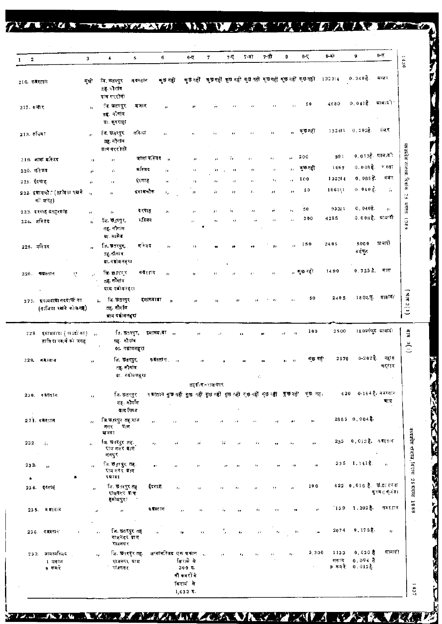#### $\overline{\mathcal{L}}$ 753722 **アメニアバテンドストレス(アク) AXX**  $\mathbf{V}$  ,  $\mathcal{F} \mathcal{J}$ Ţ, **TV A** Д

737

 $\mathcal{L}$ 

**TANA** 

|                              |                                                    |                                       |                                                            |                           |                  |                                                                                   |                                                                | $7-\sqrt{2}$                             | 7-রী           | 7-सी                     | 8                           | $8-\sqrt{2}$                                                                            | 8-41                   | 9                                                           | 9-U                           |
|------------------------------|----------------------------------------------------|---------------------------------------|------------------------------------------------------------|---------------------------|------------------|-----------------------------------------------------------------------------------|----------------------------------------------------------------|------------------------------------------|----------------|--------------------------|-----------------------------|-----------------------------------------------------------------------------------------|------------------------|-------------------------------------------------------------|-------------------------------|
| $\mathbf{2}$<br>$\mathbf{1}$ |                                                    | $\mathbf{3}$                          | $\blacktriangle$                                           | 5                         | 6                | $6 - 1$                                                                           | 7                                                              |                                          |                |                          |                             |                                                                                         |                        |                                                             | 1436                          |
| $216.$ कर रतान               |                                                    | सुधी                                  | जि. छतरपुर<br>तह आगांव<br>ग्राम गररोली                     | न वस्तान                  | क्छ नहीं         |                                                                                   | কৃত নहीं कुछ नहीं कुछ नहीं कुछ नहीं कुछ नहीं कुछ नहीं कुछ नहीं |                                          |                |                          |                             |                                                                                         | 132314                 | 0.340E                                                      | ৰ বং                          |
| $217.77$ ग                   |                                                    | $\mathbf{r}_1$                        | िनः खतरपुर<br>तह न गांव<br>ग्रा. कुरराहा                   | मजार                      | $\mathbf{r}$     |                                                                                   |                                                                |                                          |                | $\overline{\phantom{a}}$ | $\overline{\phantom{a}}$    | 50                                                                                      | 4580                   | $0, 041$ हे. भावादी                                         |                               |
| 218. तकिया                   |                                                    | $\mathbf{r}$                          | जि. छतरपुर<br>तह. नौगांव<br>ग्राम गररोली                   | तकिथा                     | $\mu$            |                                                                                   | 55                                                             | $\mathbf{H}$                             | ,,             | 55                       | $\bullet$                   | ক্ত নহী                                                                                 |                        | $132411 - 0.202$ $\frac{3}{6}$ .                            | बंजर                          |
|                              | 219. जामा महिजद                                    | $\mathbf{r}$                          | 17                                                         | जामा मन्जिद ः,            |                  | ø                                                                                 | ,,                                                             | ň.                                       | $\mathbf{r}$   | $\bullet$                | $\mathbf{y}$                | 200                                                                                     | 991                    | $0.0136$ धान दी                                             |                               |
| 220. महिजद                   |                                                    | $\mathbf{r}$                          | ń.                                                         | मस्जिद                    | v,               | n                                                                                 | ä.                                                             | $\mathbf{r}$                             | n              | $\bar{U}$                | $\mathcal{F}_{\mathcal{F}}$ | कुछन्द्दी                                                                               | 1067                   | 0.008 है. रस्ता                                             |                               |
| 221 ईदगाह                    |                                                    | $\boldsymbol{\mu}$                    | ,,                                                         | इंदगाह                    | $\mathbf{y}$     | ły.                                                                               | $\pmb{\cdots}$                                                 | $\lambda$ f                              | $\mathbf{r}$   | $\mathbf{r}_I$           | r s                         | 100                                                                                     | 132314                 | 0,0858.                                                     | बंजर                          |
|                              | 222. इमामचौ. (ताजिवा रखने<br>को जगह)               | $\sim$                                | n,                                                         | इमामचौक                   | ٠,               | и                                                                                 | ÷.                                                             | $\mathbf{r}$                             | $\mathbf{r}_i$ | $\pmb{\cdot}$            | ,,                          | 50                                                                                      | 106111                 | $0.040\,$ g.                                                | $\mathbb{Z}_2$                |
|                              | 223. दरगाह प्रतहरशाह                               | à.                                    | n                                                          | दरगाह                     | $\mathbf{r}$     | $\overline{\phantom{a}}$                                                          | Ħ                                                              | 77                                       | $\mathbf{r}$   | ń                        | ٠,                          | 50                                                                                      | 93311                  | $0,040$ है.                                                 | $\mathbf{r}$                  |
| 224. मस्जिद                  |                                                    | s.                                    | जि. छत्रपुर,<br>तद्दू. नौगांव<br>ग्रा. सामेड               | मस्जिद                    |                  | ı,                                                                                | ,,                                                             | $\mathbf{a}$                             |                | $\mathbf{r}$             | л                           | 300                                                                                     | 4285                   | 0.008 है. ब्राज्यकी                                         |                               |
| 225. मस्जिद                  |                                                    | ń.                                    | जि. छतरपुर,<br>तह नौगांव<br>ग्रा. गडोमलहरा                 | मस्तिद                    | t r              | ,,                                                                                |                                                                |                                          |                | ,,                       | $\mathbf{r}$                | 150                                                                                     | 2405                   | 5000<br>वर्गफुट                                             | ানাৰী                         |
| 226. कप्रस्तान               | $\tilde{\chi}^{\bullet}_{\rm c}$                   | j.                                    | जि. छ:रिगुर<br>तह नौगांव<br>ग्राम गयोगलहरा                 | कबर गन                    | n                |                                                                                   |                                                                |                                          |                | $\mathbf{r}$             |                             | , লুও বহী                                                                               | 1490                   | 0.725 है. मास                                               |                               |
|                              | 277. इपानवाडा तदवाफी का<br>(ताजिया रखने की अगह)    |                                       | ৰি উৱৰ্দ্ব<br>5. L<br>तह. नौगॉव<br>बाय गढीमलहरा            | द्द्यामया डा              | $\overline{1}$   | ,,                                                                                |                                                                | ,,                                       |                | ,,                       |                             | 50                                                                                      | 2405                   | 1801.5                                                      | प्रावादी                      |
|                              | 229. इसामवादा (बण्डदों का)<br>ताजिया रवत्ने को जगह | $\overline{B}$                        | ति. छ3रपुर,<br>सह. नौगांव                                  | 01. गढीमलहरी              | इमामबाड़ा ,,     |                                                                                   | r t                                                            |                                          |                |                          | $\mathbf{z}$<br>×,          | 100                                                                                     | 2500                   | 180वर्गकुट मावादी                                           |                               |
|                              | 229. कॅरेस्तान                                     | $\bullet$                             | जि. छतरपुर,<br>तह नौगांव                                   | ग्रा. गढोमलहरा            | कदस्तान∶         | $\rightarrow$                                                                     | $^{\prime}$                                                    |                                          |                |                          | $\overline{\mathbf{12}}$    | कछ नही                                                                                  | 2879                   | $0 - 202$ है.                                               | नह। ह<br>चट्टान               |
|                              |                                                    |                                       |                                                            |                           |                  |                                                                                   | तहर्कोम - राजनगर                                               |                                          |                |                          |                             |                                                                                         |                        |                                                             |                               |
|                              | 230. वक्रस्तान                                     | $\mathbf{r}$                          | जि. छत्तरपुर<br>तह. नौगॉंस<br>वाम पिषट                     |                           |                  |                                                                                   |                                                                |                                          |                |                          |                             | ब बरतान कुछ नहीं कुछ नहीं कुछ नहीं कुछ नहीं कुछ नहीं कुछ नहीं कुछ नहीं कुछ नहीं कुछ नहा | 620                    |                                                             | $0 - 194$ है. नवातान<br>बाग्र |
|                              | 231. बजरतान                                        | $\mathbf{r}$                          | जि.छ,रपुर तह राज<br>प्राम<br>नगर<br>खेजवा                  | п                         |                  | 11                                                                                |                                                                | л<br>r X                                 | a f            | ,,                       | $\bullet$                   | ,,                                                                                      |                        | 2885 0.0046                                                 |                               |
| 232.                         | ÷.                                                 | $\overline{\mathbf{a}}$               | जि. छ रसुर तह.<br>राज नगर गाम<br>ललपुर                     | $\mathbf{r}_{\mathbf{J}}$ |                  | 5Î                                                                                | ĵή.                                                            | $7\pm$<br>$\boldsymbol{r}$               | á,             | .,                       | ٠,                          | $\bullet$                                                                               |                        | 233 0.012 है, कबरत <b>ा</b> न                               |                               |
| 233.<br>٠                    | $\mathbf{r}$                                       | $\cdot$                               | िन छत्त्रपुर तह.<br>राज नगर ग्राम<br>प्रदर्शा              | ,,                        |                  | 1.8                                                                               | $^{\prime\prime}$                                              | ,,<br>$\bullet$                          | ,,             | 13                       | $\mathbf{H}$                | $\mathbf{r}$                                                                            |                        | $335 - 1.1418$                                              | $\mathbf{r}_1$                |
|                              | 234. ईंदगॉर्नु                                     | $\mathbf{r}$                          | जि. छे.ारपुर तह<br>राजनगर ग्राम<br>हरूीमपुरा               | ईदगाह                     |                  | $\mathcal{F}_{\mathbf{F}}$                                                        | $^{\prime\prime}$                                              | ň.<br>r,                                 | $\mathbf{r}$   | $\rightarrow$            | $\cdot$                     | 100                                                                                     |                        | 422 0.016 है. छोटा तनवा                                     | क्रम⊲ क्थंड।                  |
|                              | 235. वक्रस्तान                                     | $\mathcal{F}$<br>$\ddot{\phantom{0}}$ | $\pmb{r}$                                                  | $\cdot$                   | व <b>स</b> स्त1न | p.                                                                                | ,,                                                             | - 77<br>28                               | ń.             | 11                       | 13                          | $\mathcal{G}$                                                                           | 139                    | $1.202$ $\overline{3}$ .                                    | क≅रतान                        |
| 236.                         | न बरनान                                            |                                       | जि. छतरपुर तह<br>,,<br>राजनगर ग्राम<br>राजनगर              |                           | $\mathbf{r}$     | $\pmb{\cdot}$                                                                     | $\mathbf{1}$                                                   | $\overline{\phantom{a}}$<br>$\mathbf{1}$ | $\mathbf{r}$   | $t_{\rm F}$              | -97                         | $\mathbf{r}$                                                                            | 2074                   | $0.1788$ .                                                  | $\boldsymbol{r}_i$            |
| 232.                         | जामार्मास्जद<br>1 मकान<br>9 कमरे                   |                                       | जि. छतरपुर तह.<br>$\mathbf{r}_2$<br>राजनगर ग्राम<br>राजनगर |                           |                  | जग्मामस्जिद एक वकान <sub>ा</sub><br>किरामे से<br>3005.<br>नी कमरों के<br>किराय से |                                                                | ıż.                                      | ۹r<br>٠,       |                          | ٠,                          | 3,300                                                                                   | 1133<br>मकान<br>9 कमरे | $0.020$ $\frac{1}{2}$<br>$0.004$ $%$<br>0.012 $\frac{3}{6}$ | म्रावादी                      |
|                              |                                                    |                                       |                                                            |                           |                  | $1,632$ ह.                                                                        |                                                                |                                          |                |                          |                             |                                                                                         |                        |                                                             |                               |

**KISCO KORA NAZIVA ZA ZINA ZA** 

**SALE AND SEARCH THREE PROPERTY AND INCOME.** 

**RANCE** 

 $\overline{M}$ 

财权

**WAX BAVE** 

ZV

**Ma** 

 $\boldsymbol{A}$ 

叼